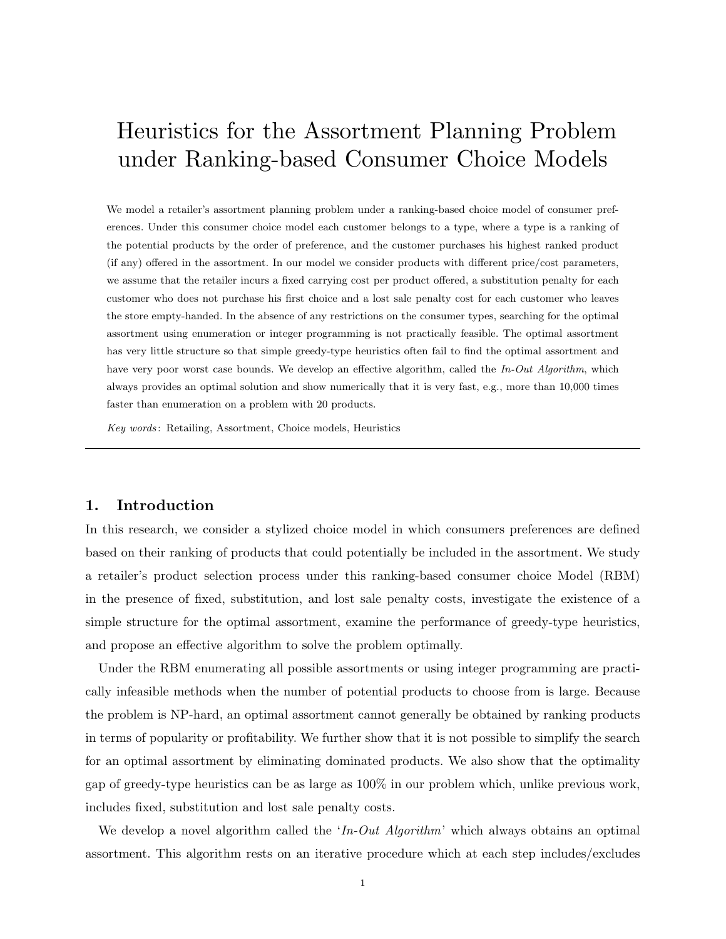# Heuristics for the Assortment Planning Problem under Ranking-based Consumer Choice Models

We model a retailer's assortment planning problem under a ranking-based choice model of consumer preferences. Under this consumer choice model each customer belongs to a type, where a type is a ranking of the potential products by the order of preference, and the customer purchases his highest ranked product (if any) offered in the assortment. In our model we consider products with different price/cost parameters, we assume that the retailer incurs a fixed carrying cost per product offered, a substitution penalty for each customer who does not purchase his first choice and a lost sale penalty cost for each customer who leaves the store empty-handed. In the absence of any restrictions on the consumer types, searching for the optimal assortment using enumeration or integer programming is not practically feasible. The optimal assortment has very little structure so that simple greedy-type heuristics often fail to find the optimal assortment and have very poor worst case bounds. We develop an effective algorithm, called the In-Out Algorithm, which always provides an optimal solution and show numerically that it is very fast, e.g., more than 10,000 times faster than enumeration on a problem with 20 products.

Key words : Retailing, Assortment, Choice models, Heuristics

#### 1. Introduction

In this research, we consider a stylized choice model in which consumers preferences are defined based on their ranking of products that could potentially be included in the assortment. We study a retailer's product selection process under this ranking-based consumer choice Model (RBM) in the presence of fixed, substitution, and lost sale penalty costs, investigate the existence of a simple structure for the optimal assortment, examine the performance of greedy-type heuristics, and propose an effective algorithm to solve the problem optimally.

Under the RBM enumerating all possible assortments or using integer programming are practically infeasible methods when the number of potential products to choose from is large. Because the problem is NP-hard, an optimal assortment cannot generally be obtained by ranking products in terms of popularity or profitability. We further show that it is not possible to simplify the search for an optimal assortment by eliminating dominated products. We also show that the optimality gap of greedy-type heuristics can be as large as 100% in our problem which, unlike previous work, includes fixed, substitution and lost sale penalty costs.

We develop a novel algorithm called the ' $In$ - $Out$  Algorithm' which always obtains an optimal assortment. This algorithm rests on an iterative procedure which at each step includes/excludes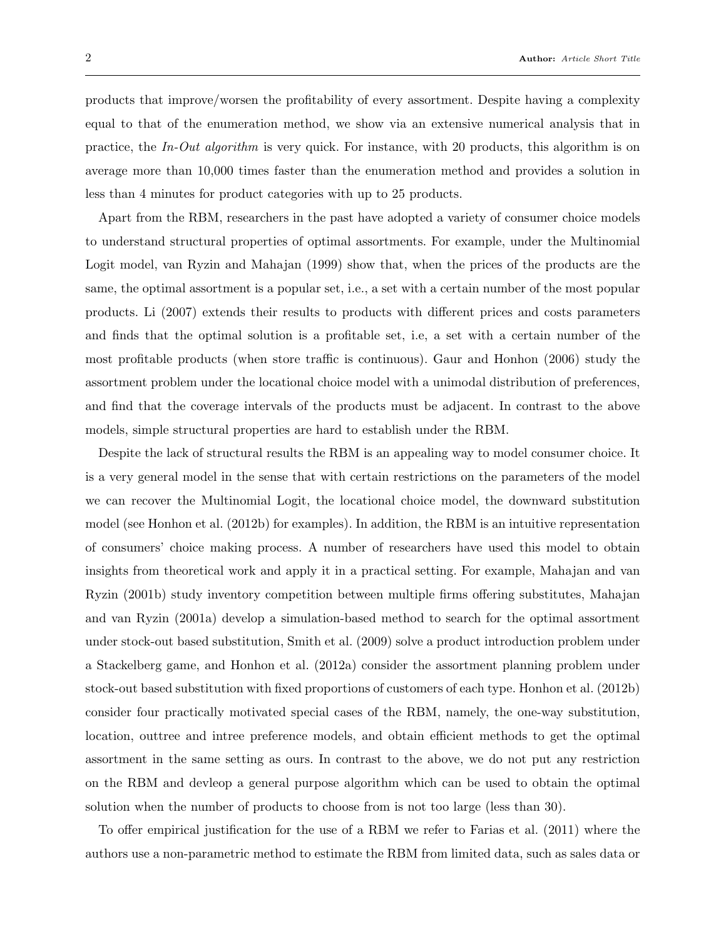products that improve/worsen the profitability of every assortment. Despite having a complexity equal to that of the enumeration method, we show via an extensive numerical analysis that in practice, the In-Out algorithm is very quick. For instance, with 20 products, this algorithm is on average more than 10,000 times faster than the enumeration method and provides a solution in less than 4 minutes for product categories with up to 25 products.

Apart from the RBM, researchers in the past have adopted a variety of consumer choice models to understand structural properties of optimal assortments. For example, under the Multinomial Logit model, van Ryzin and Mahajan (1999) show that, when the prices of the products are the same, the optimal assortment is a popular set, i.e., a set with a certain number of the most popular products. Li (2007) extends their results to products with different prices and costs parameters and finds that the optimal solution is a profitable set, i.e, a set with a certain number of the most profitable products (when store traffic is continuous). Gaur and Honhon (2006) study the assortment problem under the locational choice model with a unimodal distribution of preferences, and find that the coverage intervals of the products must be adjacent. In contrast to the above models, simple structural properties are hard to establish under the RBM.

Despite the lack of structural results the RBM is an appealing way to model consumer choice. It is a very general model in the sense that with certain restrictions on the parameters of the model we can recover the Multinomial Logit, the locational choice model, the downward substitution model (see Honhon et al. (2012b) for examples). In addition, the RBM is an intuitive representation of consumers' choice making process. A number of researchers have used this model to obtain insights from theoretical work and apply it in a practical setting. For example, Mahajan and van Ryzin (2001b) study inventory competition between multiple firms offering substitutes, Mahajan and van Ryzin (2001a) develop a simulation-based method to search for the optimal assortment under stock-out based substitution, Smith et al. (2009) solve a product introduction problem under a Stackelberg game, and Honhon et al. (2012a) consider the assortment planning problem under stock-out based substitution with fixed proportions of customers of each type. Honhon et al. (2012b) consider four practically motivated special cases of the RBM, namely, the one-way substitution, location, outtree and intree preference models, and obtain efficient methods to get the optimal assortment in the same setting as ours. In contrast to the above, we do not put any restriction on the RBM and devleop a general purpose algorithm which can be used to obtain the optimal solution when the number of products to choose from is not too large (less than 30).

To offer empirical justification for the use of a RBM we refer to Farias et al. (2011) where the authors use a non-parametric method to estimate the RBM from limited data, such as sales data or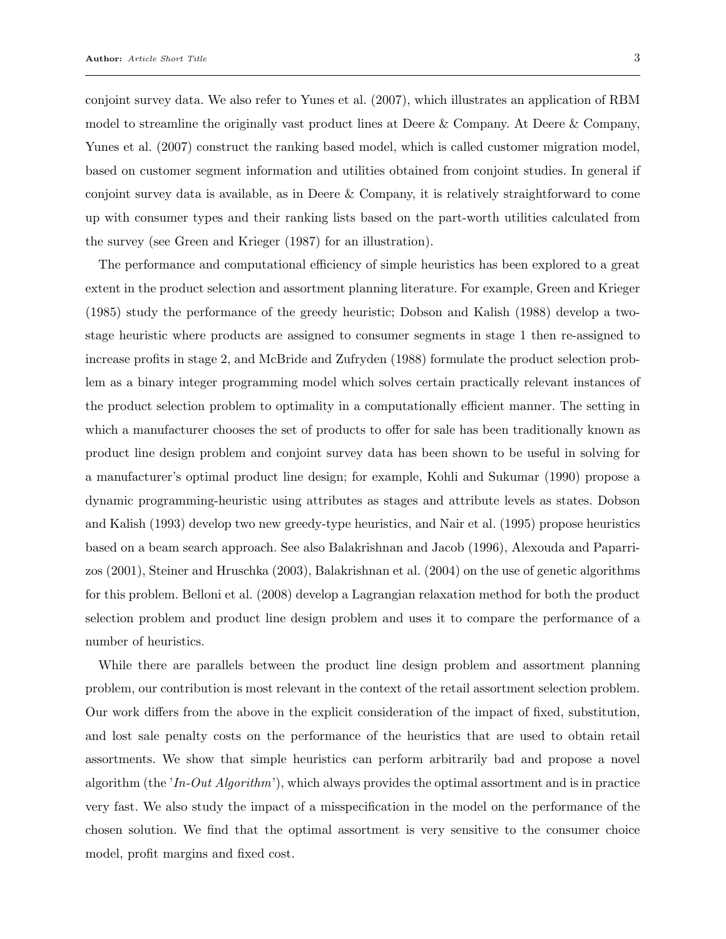conjoint survey data. We also refer to Yunes et al. (2007), which illustrates an application of RBM model to streamline the originally vast product lines at Deere & Company. At Deere & Company, Yunes et al. (2007) construct the ranking based model, which is called customer migration model, based on customer segment information and utilities obtained from conjoint studies. In general if conjoint survey data is available, as in Deere & Company, it is relatively straightforward to come up with consumer types and their ranking lists based on the part-worth utilities calculated from the survey (see Green and Krieger (1987) for an illustration).

The performance and computational efficiency of simple heuristics has been explored to a great extent in the product selection and assortment planning literature. For example, Green and Krieger (1985) study the performance of the greedy heuristic; Dobson and Kalish (1988) develop a twostage heuristic where products are assigned to consumer segments in stage 1 then re-assigned to increase profits in stage 2, and McBride and Zufryden (1988) formulate the product selection problem as a binary integer programming model which solves certain practically relevant instances of the product selection problem to optimality in a computationally efficient manner. The setting in which a manufacturer chooses the set of products to offer for sale has been traditionally known as product line design problem and conjoint survey data has been shown to be useful in solving for a manufacturer's optimal product line design; for example, Kohli and Sukumar (1990) propose a dynamic programming-heuristic using attributes as stages and attribute levels as states. Dobson and Kalish (1993) develop two new greedy-type heuristics, and Nair et al. (1995) propose heuristics based on a beam search approach. See also Balakrishnan and Jacob (1996), Alexouda and Paparrizos (2001), Steiner and Hruschka (2003), Balakrishnan et al. (2004) on the use of genetic algorithms for this problem. Belloni et al. (2008) develop a Lagrangian relaxation method for both the product selection problem and product line design problem and uses it to compare the performance of a number of heuristics.

While there are parallels between the product line design problem and assortment planning problem, our contribution is most relevant in the context of the retail assortment selection problem. Our work differs from the above in the explicit consideration of the impact of fixed, substitution, and lost sale penalty costs on the performance of the heuristics that are used to obtain retail assortments. We show that simple heuristics can perform arbitrarily bad and propose a novel algorithm (the  $In-Out Algorithm$ ), which always provides the optimal assortment and is in practice very fast. We also study the impact of a misspecification in the model on the performance of the chosen solution. We find that the optimal assortment is very sensitive to the consumer choice model, profit margins and fixed cost.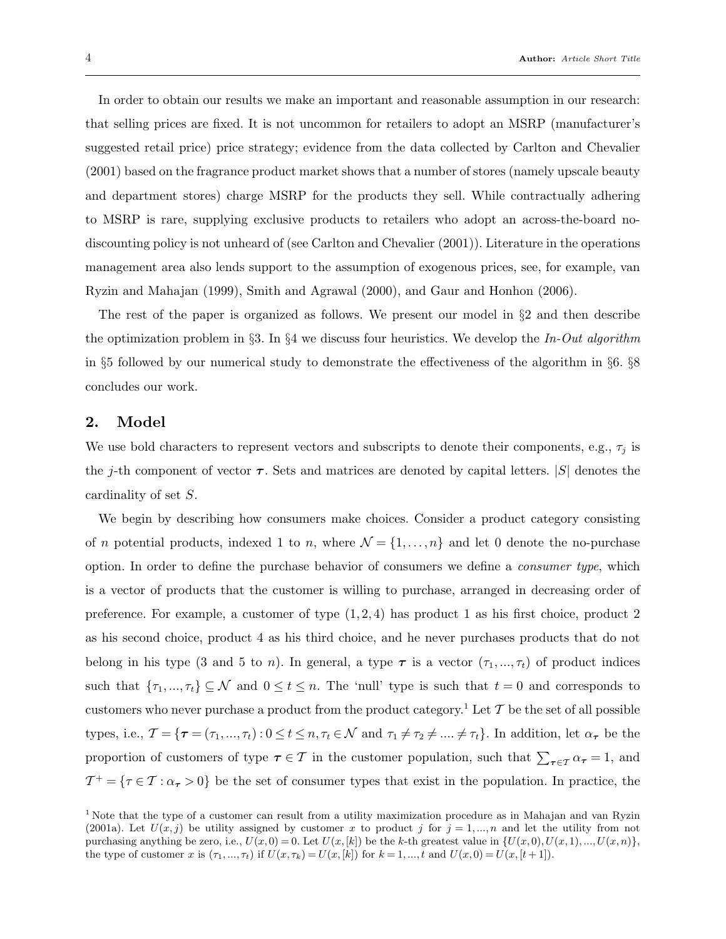In order to obtain our results we make an important and reasonable assumption in our research: that selling prices are fixed. It is not uncommon for retailers to adopt an MSRP (manufacturer's suggested retail price) price strategy; evidence from the data collected by Carlton and Chevalier (2001) based on the fragrance product market shows that a number of stores (namely upscale beauty and department stores) charge MSRP for the products they sell. While contractually adhering to MSRP is rare, supplying exclusive products to retailers who adopt an across-the-board nodiscounting policy is not unheard of (see Carlton and Chevalier (2001)). Literature in the operations management area also lends support to the assumption of exogenous prices, see, for example, van Ryzin and Mahajan (1999), Smith and Agrawal (2000), and Gaur and Honhon (2006).

The rest of the paper is organized as follows. We present our model in §2 and then describe the optimization problem in §3. In §4 we discuss four heuristics. We develop the In-Out algorithm in §5 followed by our numerical study to demonstrate the effectiveness of the algorithm in §6. §8 concludes our work.

#### 2. Model

We use bold characters to represent vectors and subscripts to denote their components, e.g.,  $\tau_j$  is the j-th component of vector  $\tau$ . Sets and matrices are denoted by capital letters. |S| denotes the cardinality of set S.

We begin by describing how consumers make choices. Consider a product category consisting of *n* potential products, indexed 1 to *n*, where  $\mathcal{N} = \{1, ..., n\}$  and let 0 denote the no-purchase option. In order to define the purchase behavior of consumers we define a consumer type, which is a vector of products that the customer is willing to purchase, arranged in decreasing order of preference. For example, a customer of type  $(1, 2, 4)$  has product 1 as his first choice, product 2 as his second choice, product 4 as his third choice, and he never purchases products that do not belong in his type (3 and 5 to *n*). In general, a type  $\tau$  is a vector  $(\tau_1, ..., \tau_t)$  of product indices such that  $\{\tau_1,...,\tau_t\} \subseteq \mathcal{N}$  and  $0 \le t \le n$ . The 'null' type is such that  $t = 0$  and corresponds to customers who never purchase a product from the product category.<sup>1</sup> Let  $\mathcal T$  be the set of all possible types, i.e.,  $\mathcal{T} = {\tau = (\tau_1, ..., \tau_t) : 0 \le t \le n, \tau_t \in \mathcal{N}}$  and  $\tau_1 \ne \tau_2 \ne ... \ne \tau_t$ . In addition, let  $\alpha_{\tau}$  be the proportion of customers of type  $\tau \in \mathcal{T}$  in the customer population, such that  $\sum_{\tau \in \mathcal{T}} \alpha_{\tau} = 1$ , and  $\mathcal{T}^+ = \{\tau \in \mathcal{T} : \alpha_{\tau} > 0\}$  be the set of consumer types that exist in the population. In practice, the

<sup>&</sup>lt;sup>1</sup> Note that the type of a customer can result from a utility maximization procedure as in Mahajan and van Ryzin (2001a). Let  $U(x, j)$  be utility assigned by customer x to product j for  $j = 1, ..., n$  and let the utility from not purchasing anything be zero, i.e.,  $U(x, 0) = 0$ . Let  $U(x, [k])$  be the k-th greatest value in  $\{U(x, 0), U(x, 1), ..., U(x, n)\}$ , the type of customer x is  $(\tau_1, ..., \tau_t)$  if  $U(x, \tau_k) = U(x, [k])$  for  $k = 1, ..., t$  and  $U(x, 0) = U(x, [t + 1])$ .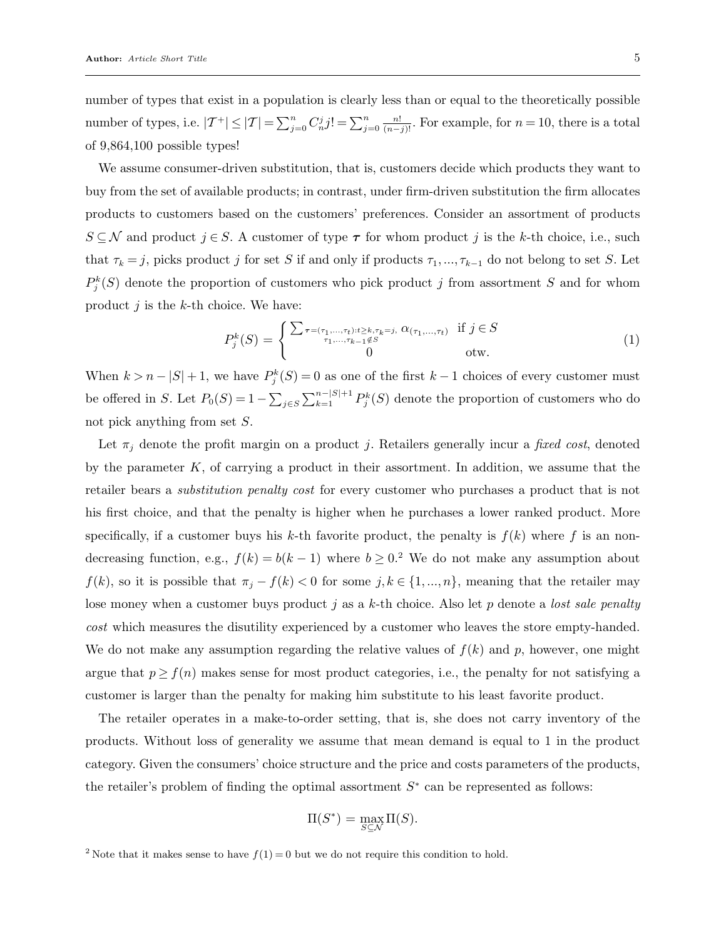number of types that exist in a population is clearly less than or equal to the theoretically possible number of types, i.e.  $|{\mathcal{T}}^+| \leq |{\mathcal{T}}| = \sum_{j=0}^n C_n^j j! = \sum_{j=0}^n \frac{n!}{(n-j)!}$ . For example, for  $n = 10$ , there is a total of 9,864,100 possible types!

We assume consumer-driven substitution, that is, customers decide which products they want to buy from the set of available products; in contrast, under firm-driven substitution the firm allocates products to customers based on the customers' preferences. Consider an assortment of products  $S \subseteq \mathcal{N}$  and product  $j \in S$ . A customer of type  $\tau$  for whom product j is the k-th choice, i.e., such that  $\tau_k = j$ , picks product j for set S if and only if products  $\tau_1, ..., \tau_{k-1}$  do not belong to set S. Let  $P_j^k(S)$  denote the proportion of customers who pick product j from assortment S and for whom product  $j$  is the  $k$ -th choice. We have:

$$
P_j^k(S) = \begin{cases} \sum_{\tau = (\tau_1, ..., \tau_t): t \ge k, \tau_k = j, \ \alpha_{(\tau_1, ..., \tau_t)} & \text{if } j \in S \\ 0 & \text{otw.} \end{cases}
$$
 (1)

When  $k > n - |S| + 1$ , we have  $P_j^k(S) = 0$  as one of the first  $k - 1$  choices of every customer must be offered in S. Let  $P_0(S) = 1 - \sum_{j \in S} \sum_{k=1}^{n-|S|+1} P_j^k(S)$  denote the proportion of customers who do not pick anything from set S.

Let  $\pi_j$  denote the profit margin on a product j. Retailers generally incur a fixed cost, denoted by the parameter  $K$ , of carrying a product in their assortment. In addition, we assume that the retailer bears a substitution penalty cost for every customer who purchases a product that is not his first choice, and that the penalty is higher when he purchases a lower ranked product. More specifically, if a customer buys his k-th favorite product, the penalty is  $f(k)$  where f is an nondecreasing function, e.g.,  $f(k) = b(k-1)$  where  $b \ge 0.2$ . We do not make any assumption about  $f(k)$ , so it is possible that  $\pi_j - f(k) < 0$  for some  $j, k \in \{1, ..., n\}$ , meaning that the retailer may lose money when a customer buys product j as a k-th choice. Also let p denote a *lost sale penalty* cost which measures the disutility experienced by a customer who leaves the store empty-handed. We do not make any assumption regarding the relative values of  $f(k)$  and p, however, one might argue that  $p \ge f(n)$  makes sense for most product categories, i.e., the penalty for not satisfying a customer is larger than the penalty for making him substitute to his least favorite product.

The retailer operates in a make-to-order setting, that is, she does not carry inventory of the products. Without loss of generality we assume that mean demand is equal to 1 in the product category. Given the consumers' choice structure and the price and costs parameters of the products, the retailer's problem of finding the optimal assortment  $S^*$  can be represented as follows:

$$
\Pi(S^*) = \max_{S \subseteq \mathcal{N}} \Pi(S).
$$

<sup>&</sup>lt;sup>2</sup> Note that it makes sense to have  $f(1) = 0$  but we do not require this condition to hold.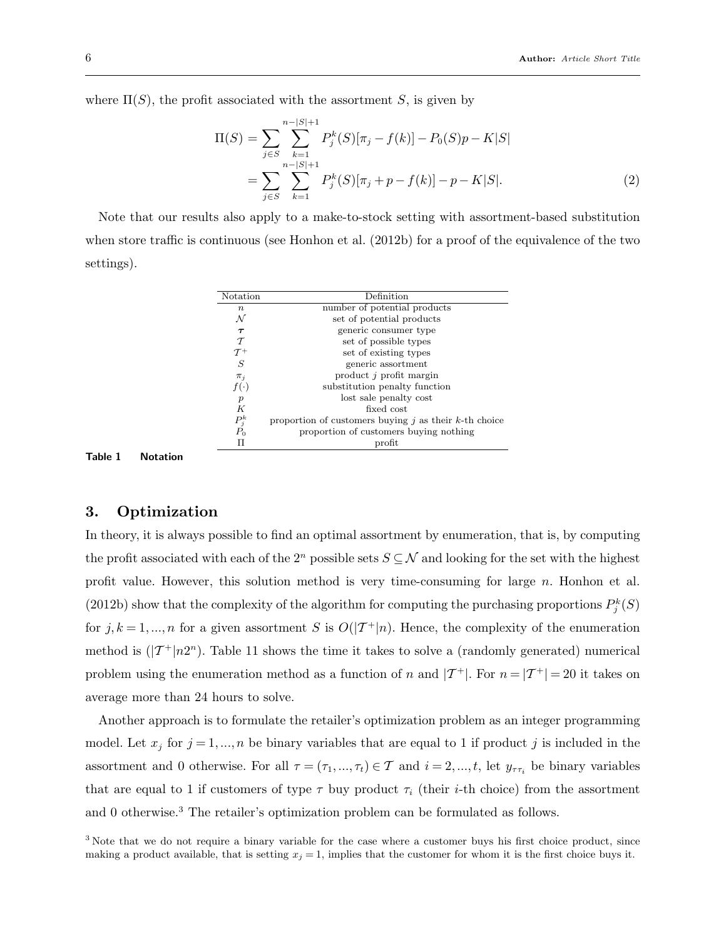where  $\Pi(S)$ , the profit associated with the assortment S, is given by

$$
\Pi(S) = \sum_{j \in S} \sum_{k=1}^{n-|S|+1} P_j^k(S)[\pi_j - f(k)] - P_0(S)p - K|S|
$$
  
= 
$$
\sum_{j \in S} \sum_{k=1}^{n-|S|+1} P_j^k(S)[\pi_j + p - f(k)] - p - K|S|.
$$
 (2)

Note that our results also apply to a make-to-stock setting with assortment-based substitution when store traffic is continuous (see Honhon et al. (2012b) for a proof of the equivalence of the two settings).

| Notation         | Definition                                                 |
|------------------|------------------------------------------------------------|
| $\, n$           | number of potential products                               |
| N                | set of potential products                                  |
| $\tau$           | generic consumer type                                      |
| $\tau$           | set of possible types                                      |
| $\tau^+$         | set of existing types                                      |
| S                | generic assortment                                         |
| $\pi_i$          | product $j$ profit margin                                  |
| $f(\cdot)$       | substitution penalty function                              |
| $\boldsymbol{p}$ | lost sale penalty cost                                     |
| K                | fixed cost                                                 |
| $P_j^k$          | proportion of customers buying $j$ as their $k$ -th choice |
| $P_0$            | proportion of customers buying nothing                     |
|                  | $\n  profit\n$                                             |
|                  |                                                            |

Table 1 Notation

#### 3. Optimization

In theory, it is always possible to find an optimal assortment by enumeration, that is, by computing the profit associated with each of the  $2^n$  possible sets  $S \subseteq \mathcal{N}$  and looking for the set with the highest profit value. However, this solution method is very time-consuming for large  $n$ . Honhon et al. (2012b) show that the complexity of the algorithm for computing the purchasing proportions  $P_j^k(S)$ for  $j, k = 1, ..., n$  for a given assortment S is  $O(|\mathcal{T}^+|n)$ . Hence, the complexity of the enumeration method is  $(|\mathcal{T}^+|n2^n)$ . Table 11 shows the time it takes to solve a (randomly generated) numerical problem using the enumeration method as a function of n and  $|T^+|$ . For  $n = |T^+| = 20$  it takes on average more than 24 hours to solve.

Another approach is to formulate the retailer's optimization problem as an integer programming model. Let  $x_j$  for  $j = 1, ..., n$  be binary variables that are equal to 1 if product j is included in the assortment and 0 otherwise. For all  $\tau = (\tau_1, ..., \tau_t) \in \mathcal{T}$  and  $i = 2, ..., t$ , let  $y_{\tau \tau_i}$  be binary variables that are equal to 1 if customers of type  $\tau$  buy product  $\tau_i$  (their *i*-th choice) from the assortment and 0 otherwise.<sup>3</sup> The retailer's optimization problem can be formulated as follows.

<sup>3</sup> Note that we do not require a binary variable for the case where a customer buys his first choice product, since making a product available, that is setting  $x_j = 1$ , implies that the customer for whom it is the first choice buys it.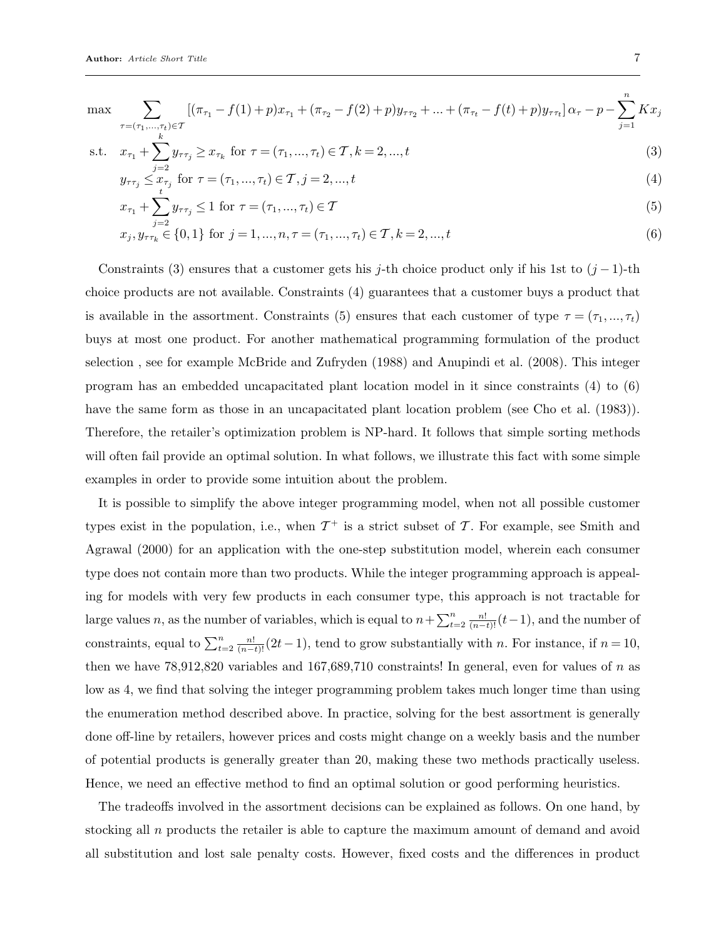$$
\max \sum_{\substack{\tau = (\tau_1, \dots, \tau_t) \in \mathcal{T} \\ k}} [(\pi_{\tau_1} - f(1) + p)x_{\tau_1} + (\pi_{\tau_2} - f(2) + p)y_{\tau \tau_2} + \dots + (\pi_{\tau_t} - f(t) + p)y_{\tau \tau_t}] \alpha_{\tau} - p - \sum_{j=1}^n Kx_j
$$

s.t. 
$$
x_{\tau_1} + \sum_{i=2} y_{\tau \tau_j} \ge x_{\tau_k}
$$
 for  $\tau = (\tau_1, ..., \tau_t) \in \mathcal{T}, k = 2, ..., t$  (3)

$$
y_{\tau\tau_j} \leq x_{\tau_j} \text{ for } \tau = (\tau_1, ..., \tau_t) \in \mathcal{T}, j = 2, ..., t
$$
 (4)

$$
x_{\tau_1} + \sum_{j=1}^{t} y_{\tau \tau_j} \le 1 \text{ for } \tau = (\tau_1, ..., \tau_t) \in \mathcal{T}
$$
\n(5)

$$
x_j, y_{\tau\tau_k} \in \{0, 1\} \text{ for } j = 1, ..., n, \tau = (\tau_1, ..., \tau_t) \in \mathcal{T}, k = 2, ..., t
$$
 (6)

Constraints (3) ensures that a customer gets his j-th choice product only if his 1st to  $(j-1)$ -th choice products are not available. Constraints (4) guarantees that a customer buys a product that is available in the assortment. Constraints (5) ensures that each customer of type  $\tau = (\tau_1, ..., \tau_t)$ buys at most one product. For another mathematical programming formulation of the product selection , see for example McBride and Zufryden (1988) and Anupindi et al. (2008). This integer program has an embedded uncapacitated plant location model in it since constraints (4) to (6) have the same form as those in an uncapacitated plant location problem (see Cho et al. (1983)). Therefore, the retailer's optimization problem is NP-hard. It follows that simple sorting methods will often fail provide an optimal solution. In what follows, we illustrate this fact with some simple examples in order to provide some intuition about the problem.

It is possible to simplify the above integer programming model, when not all possible customer types exist in the population, i.e., when  $\mathcal{T}^+$  is a strict subset of  $\mathcal{T}$ . For example, see Smith and Agrawal (2000) for an application with the one-step substitution model, wherein each consumer type does not contain more than two products. While the integer programming approach is appealing for models with very few products in each consumer type, this approach is not tractable for large values n, as the number of variables, which is equal to  $n + \sum_{t=2}^{n} \frac{n!}{(n-t)!} (t-1)$ , and the number of constraints, equal to  $\sum_{t=2}^{n} \frac{n!}{(n-t)!} (2t-1)$ , tend to grow substantially with n. For instance, if  $n = 10$ , then we have  $78,912,820$  variables and  $167,689,710$  constraints! In general, even for values of n as low as 4, we find that solving the integer programming problem takes much longer time than using the enumeration method described above. In practice, solving for the best assortment is generally done off-line by retailers, however prices and costs might change on a weekly basis and the number of potential products is generally greater than 20, making these two methods practically useless. Hence, we need an effective method to find an optimal solution or good performing heuristics.

The tradeoffs involved in the assortment decisions can be explained as follows. On one hand, by stocking all n products the retailer is able to capture the maximum amount of demand and avoid all substitution and lost sale penalty costs. However, fixed costs and the differences in product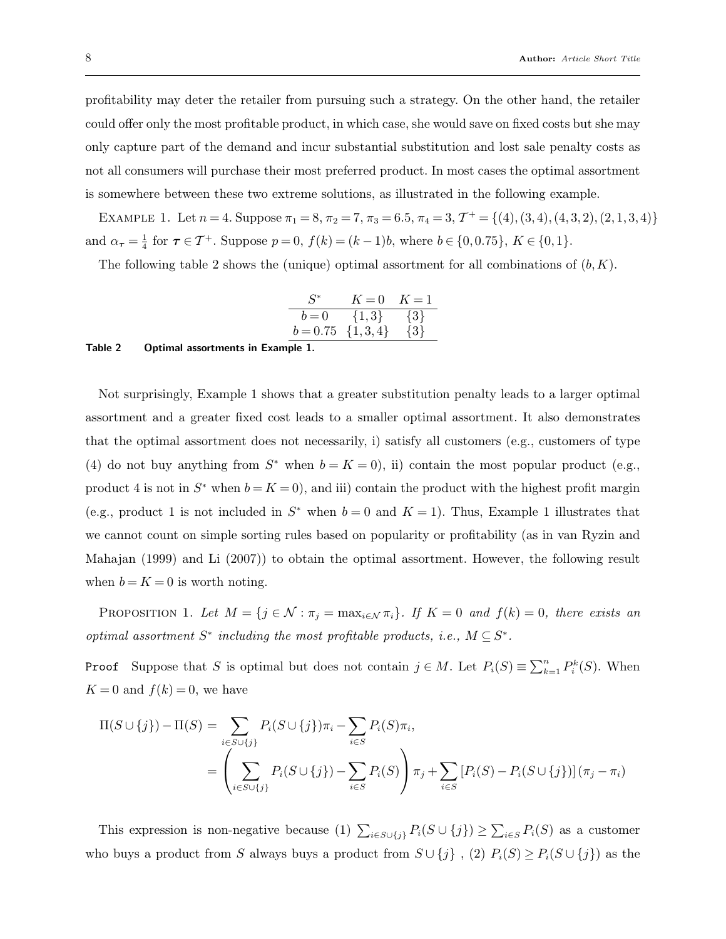profitability may deter the retailer from pursuing such a strategy. On the other hand, the retailer could offer only the most profitable product, in which case, she would save on fixed costs but she may only capture part of the demand and incur substantial substitution and lost sale penalty costs as not all consumers will purchase their most preferred product. In most cases the optimal assortment is somewhere between these two extreme solutions, as illustrated in the following example.

EXAMPLE 1. Let  $n = 4$ . Suppose  $\pi_1 = 8$ ,  $\pi_2 = 7$ ,  $\pi_3 = 6.5$ ,  $\pi_4 = 3$ ,  $\mathcal{T}^+ = \{(4), (3, 4), (4, 3, 2), (2, 1, 3, 4)\}$ and  $\alpha_{\tau} = \frac{1}{4}$  $\frac{1}{4}$  for  $\tau \in \mathcal{T}^+$ . Suppose  $p = 0$ ,  $f(k) = (k-1)b$ , where  $b \in \{0, 0.75\}$ ,  $K \in \{0, 1\}$ .

The following table 2 shows the (unique) optimal assortment for all combinations of  $(b, K)$ .

| $S^*$                  | $K=0$     | $K=1$   |
|------------------------|-----------|---------|
| $b=0$                  | $\{1,3\}$ | $\{3\}$ |
| $b = 0.75 \{1, 3, 4\}$ |           | $\{3\}$ |

#### Table 2 Optimal assortments in Example 1.

Not surprisingly, Example 1 shows that a greater substitution penalty leads to a larger optimal assortment and a greater fixed cost leads to a smaller optimal assortment. It also demonstrates that the optimal assortment does not necessarily, i) satisfy all customers (e.g., customers of type (4) do not buy anything from  $S^*$  when  $b = K = 0$ , ii) contain the most popular product (e.g., product 4 is not in  $S^*$  when  $b = K = 0$ , and iii) contain the product with the highest profit margin (e.g., product 1 is not included in  $S^*$  when  $b = 0$  and  $K = 1$ ). Thus, Example 1 illustrates that we cannot count on simple sorting rules based on popularity or profitability (as in van Ryzin and Mahajan (1999) and Li (2007)) to obtain the optimal assortment. However, the following result when  $b = K = 0$  is worth noting.

PROPOSITION 1. Let  $M = \{j \in \mathcal{N} : \pi_j = \max_{i \in \mathcal{N}} \pi_i\}$ . If  $K = 0$  and  $f(k) = 0$ , there exists an optimal assortment  $S^*$  including the most profitable products, i.e.,  $M \subseteq S^*$ .

**Proof** Suppose that S is optimal but does not contain  $j \in M$ . Let  $P_i(S) \equiv \sum_{k=1}^n P_i^k(S)$ . When  $K = 0$  and  $f(k) = 0$ , we have

$$
\Pi(S \cup \{j\}) - \Pi(S) = \sum_{i \in S \cup \{j\}} P_i(S \cup \{j\}) \pi_i - \sum_{i \in S} P_i(S) \pi_i,
$$
  
= 
$$
\left( \sum_{i \in S \cup \{j\}} P_i(S \cup \{j\}) - \sum_{i \in S} P_i(S) \right) \pi_j + \sum_{i \in S} [P_i(S) - P_i(S \cup \{j\})] (\pi_j - \pi_i)
$$

This expression is non-negative because (1)  $\sum_{i\in S\cup\{j\}} P_i(S \cup \{j\}) \ge \sum_{i\in S} P_i(S)$  as a customer who buys a product from S always buys a product from  $S \cup \{j\}$ ,  $(2)$   $P_i(S) \ge P_i(S \cup \{j\})$  as the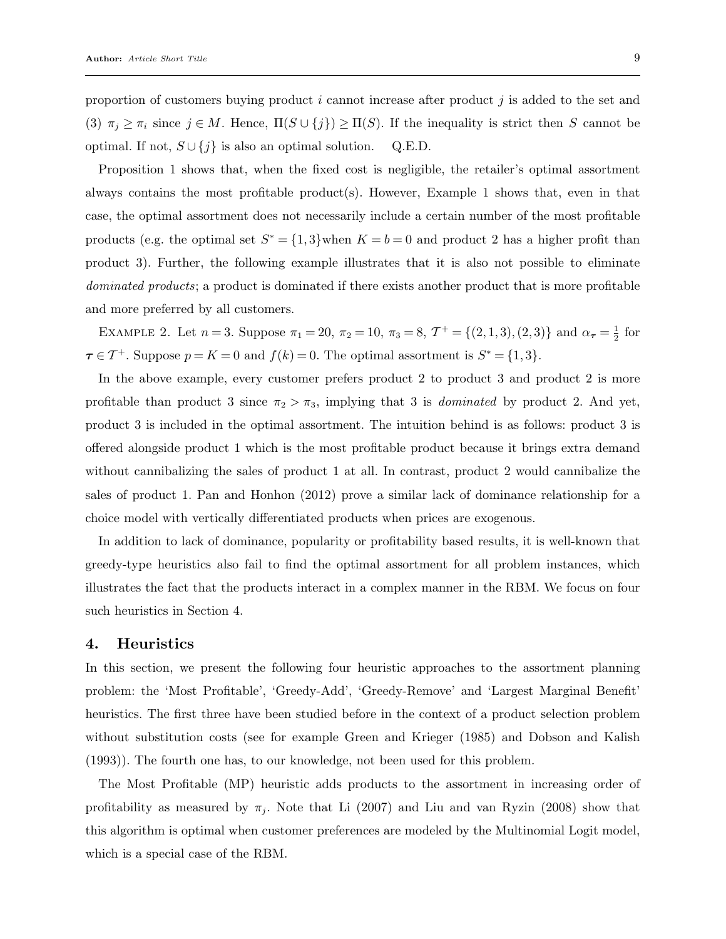proportion of customers buying product i cannot increase after product  $i$  is added to the set and (3)  $\pi_j \geq \pi_i$  since  $j \in M$ . Hence,  $\Pi(S \cup \{j\}) \geq \Pi(S)$ . If the inequality is strict then S cannot be optimal. If not,  $S \cup \{j\}$  is also an optimal solution. Q.E.D.

Proposition 1 shows that, when the fixed cost is negligible, the retailer's optimal assortment always contains the most profitable product(s). However, Example 1 shows that, even in that case, the optimal assortment does not necessarily include a certain number of the most profitable products (e.g. the optimal set  $S^* = \{1,3\}$  when  $K = b = 0$  and product 2 has a higher profit than product 3). Further, the following example illustrates that it is also not possible to eliminate dominated products; a product is dominated if there exists another product that is more profitable and more preferred by all customers.

EXAMPLE 2. Let  $n = 3$ . Suppose  $\pi_1 = 20$ ,  $\pi_2 = 10$ ,  $\pi_3 = 8$ ,  $\mathcal{T}^+ = \{(2, 1, 3), (2, 3)\}$  and  $\alpha_{\tau} = \frac{1}{2}$  $rac{1}{2}$  for  $\tau \in \mathcal{T}^+$ . Suppose  $p = K = 0$  and  $f(k) = 0$ . The optimal assortment is  $S^* = \{1, 3\}$ .

In the above example, every customer prefers product 2 to product 3 and product 2 is more profitable than product 3 since  $\pi_2 > \pi_3$ , implying that 3 is *dominated* by product 2. And yet, product 3 is included in the optimal assortment. The intuition behind is as follows: product 3 is offered alongside product 1 which is the most profitable product because it brings extra demand without cannibalizing the sales of product 1 at all. In contrast, product 2 would cannibalize the sales of product 1. Pan and Honhon (2012) prove a similar lack of dominance relationship for a choice model with vertically differentiated products when prices are exogenous.

In addition to lack of dominance, popularity or profitability based results, it is well-known that greedy-type heuristics also fail to find the optimal assortment for all problem instances, which illustrates the fact that the products interact in a complex manner in the RBM. We focus on four such heuristics in Section 4.

#### 4. Heuristics

In this section, we present the following four heuristic approaches to the assortment planning problem: the 'Most Profitable', 'Greedy-Add', 'Greedy-Remove' and 'Largest Marginal Benefit' heuristics. The first three have been studied before in the context of a product selection problem without substitution costs (see for example Green and Krieger (1985) and Dobson and Kalish (1993)). The fourth one has, to our knowledge, not been used for this problem.

The Most Profitable (MP) heuristic adds products to the assortment in increasing order of profitability as measured by  $\pi_j$ . Note that Li (2007) and Liu and van Ryzin (2008) show that this algorithm is optimal when customer preferences are modeled by the Multinomial Logit model, which is a special case of the RBM.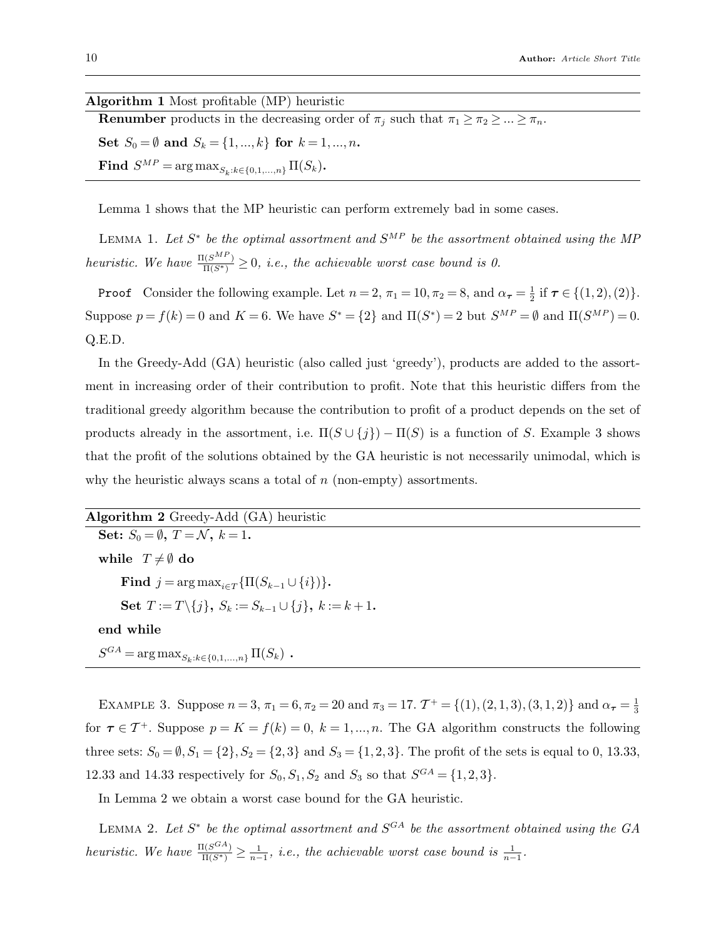#### Algorithm 1 Most profitable (MP) heuristic

**Renumber** products in the decreasing order of  $\pi_j$  such that  $\pi_1 \geq \pi_2 \geq ... \geq \pi_n$ . Set  $S_0 = \emptyset$  and  $S_k = \{1, ..., k\}$  for  $k = 1, ..., n$ .  $\textbf{Find} \ \ S^{MP} = \arg \max_{S_k: k \in \{0,1,...,n\}} \Pi(S_k).$ 

Lemma 1 shows that the MP heuristic can perform extremely bad in some cases.

LEMMA 1. Let  $S^*$  be the optimal assortment and  $S^{MP}$  be the assortment obtained using the MP heuristic. We have  $\frac{\Pi(S^{MP})}{\Pi(S^*)} \geq 0$ , i.e., the achievable worst case bound is 0.

**Proof** Consider the following example. Let  $n = 2$ ,  $\pi_1 = 10$ ,  $\pi_2 = 8$ , and  $\alpha_{\tau} = \frac{1}{2}$  $\frac{1}{2}$  if  $\tau \in \{(1,2),(2)\}.$ Suppose  $p = f(k) = 0$  and  $K = 6$ . We have  $S^* = \{2\}$  and  $\Pi(S^*) = 2$  but  $S^{MP} = \emptyset$  and  $\Pi(S^{MP}) = 0$ . Q.E.D.

In the Greedy-Add (GA) heuristic (also called just 'greedy'), products are added to the assortment in increasing order of their contribution to profit. Note that this heuristic differs from the traditional greedy algorithm because the contribution to profit of a product depends on the set of products already in the assortment, i.e.  $\Pi(S \cup \{j\}) - \Pi(S)$  is a function of S. Example 3 shows that the profit of the solutions obtained by the GA heuristic is not necessarily unimodal, which is why the heuristic always scans a total of  $n$  (non-empty) assortments.

Algorithm 2 Greedy-Add (GA) heuristic Set:  $S_0 = \emptyset$ ,  $T = \mathcal{N}$ ,  $k = 1$ . while  $T \neq \emptyset$  do Find  $j = \arg \max_{i \in \mathcal{T}} \{ \Pi(S_{k-1} \cup \{i\}) \}.$ Set  $T := T \setminus \{j\}, S_k := S_{k-1} \cup \{j\}, k := k+1$ . end while  $S^{GA} = \arg \max_{S_k: k \in \{0,1,...,n\}} \Pi(S_k)$ .

EXAMPLE 3. Suppose  $n = 3$ ,  $\pi_1 = 6$ ,  $\pi_2 = 20$  and  $\pi_3 = 17$ .  $\mathcal{T}^+ = \{(1), (2, 1, 3), (3, 1, 2)\}$  and  $\alpha_{\tau} = \frac{1}{3}$ 3 for  $\tau \in \mathcal{T}^+$ . Suppose  $p = K = f(k) = 0, k = 1, ..., n$ . The GA algorithm constructs the following three sets:  $S_0 = \emptyset$ ,  $S_1 = \{2\}$ ,  $S_2 = \{2,3\}$  and  $S_3 = \{1,2,3\}$ . The profit of the sets is equal to 0, 13.33, 12.33 and 14.33 respectively for  $S_0, S_1, S_2$  and  $S_3$  so that  $S^{GA} = \{1, 2, 3\}$ .

In Lemma 2 we obtain a worst case bound for the GA heuristic.

LEMMA 2. Let  $S^*$  be the optimal assortment and  $S^{GA}$  be the assortment obtained using the GA heuristic. We have  $\frac{\Pi(S^{GA})}{\Pi(S^*)} \geq \frac{1}{n-1}$ , i.e., the achievable worst case bound is  $\frac{1}{n-1}$ .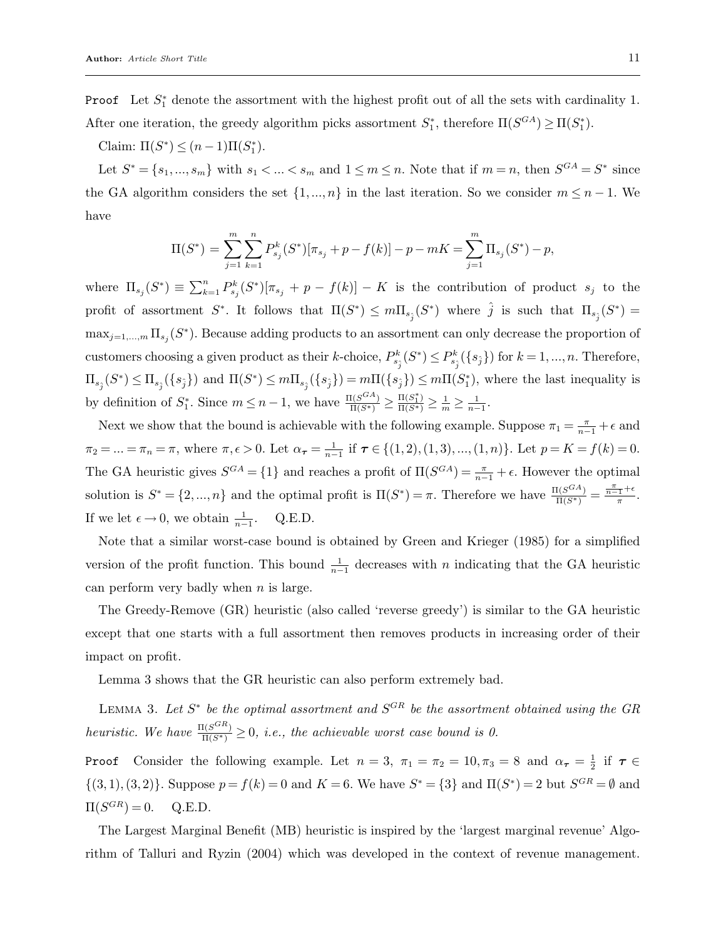**Proof** Let  $S_1^*$  denote the assortment with the highest profit out of all the sets with cardinality 1. After one iteration, the greedy algorithm picks assortment  $S_1^*$ , therefore  $\Pi(S^{GA}) \ge \Pi(S_1^*)$ .

Claim:  $\Pi(S^*) \le (n-1)\Pi(S_1^*)$ .

Let  $S^* = \{s_1, ..., s_m\}$  with  $s_1 < ... < s_m$  and  $1 \le m \le n$ . Note that if  $m = n$ , then  $S^{GA} = S^*$  since the GA algorithm considers the set  $\{1,...,n\}$  in the last iteration. So we consider  $m \leq n-1$ . We have

$$
\Pi(S^*) = \sum_{j=1}^m \sum_{k=1}^n P_{s_j}^k(S^*)[\pi_{s_j} + p - f(k)] - p - mK = \sum_{j=1}^m \Pi_{s_j}(S^*) - p,
$$

where  $\Pi_{s_j}(S^*) \equiv \sum_{k=1}^n P_{s_j}^k(S^*)[\pi_{s_j} + p - f(k)] - K$  is the contribution of product  $s_j$  to the profit of assortment  $S^*$ . It follows that  $\Pi(S^*) \leq m \Pi_{s_{\hat{j}}}(S^*)$  where  $\hat{j}$  is such that  $\Pi_{s_{\hat{j}}}(S^*)$  =  $\max_{j=1,\dots,m} \prod_{s_j}(S^*)$ . Because adding products to an assortment can only decrease the proportion of customers choosing a given product as their k-choice,  $P_{s_{\hat{j}}}^k(S^*) \leq P_{s_{\hat{j}}}^k(\{s_{\hat{j}}\})$  for  $k = 1, ..., n$ . Therefore,  $\Pi_{s_{\hat{j}}}(S^*) \leq \Pi_{s_{\hat{j}}}(\{s_{\hat{j}}\})$  and  $\Pi(S^*) \leq m \Pi_{s_{\hat{j}}}(\{s_{\hat{j}}\}) = m \Pi(\{s_{\hat{j}}\}) \leq m \Pi(S_1^*)$ , where the last inequality is by definition of  $S_1^*$ . Since  $m \leq n-1$ , we have  $\frac{\Pi(S^{\text{CA}})}{\Pi(S^*)} \geq \frac{\Pi(S_1^*)}{\Pi(S^*)} \geq \frac{1}{m} \geq \frac{1}{n-1}$ .

Next we show that the bound is achievable with the following example. Suppose  $\pi_1 = \frac{\pi}{n-1} + \epsilon$  and  $\pi_2 = ... = \pi_n = \pi$ , where  $\pi, \epsilon > 0$ . Let  $\alpha_{\tau} = \frac{1}{n-1}$  if  $\tau \in \{(1, 2), (1, 3), ..., (1, n)\}$ . Let  $p = K = f(k) = 0$ . The GA heuristic gives  $S^{GA} = \{1\}$  and reaches a profit of  $\Pi(S^{GA}) = \frac{\pi}{n-1} + \epsilon$ . However the optimal solution is  $S^* = \{2, ..., n\}$  and the optimal profit is  $\Pi(S^*) = \pi$ . Therefore we have  $\frac{\Pi(S^{GA})}{\Pi(S^*)} = \frac{\pi}{\pi} + \epsilon$  $\frac{\tau}{\pi}$ . If we let  $\epsilon \to 0$ , we obtain  $\frac{1}{n-1}$ . Q.E.D.

Note that a similar worst-case bound is obtained by Green and Krieger (1985) for a simplified version of the profit function. This bound  $\frac{1}{n-1}$  decreases with n indicating that the GA heuristic can perform very badly when  $n$  is large.

The Greedy-Remove (GR) heuristic (also called 'reverse greedy') is similar to the GA heuristic except that one starts with a full assortment then removes products in increasing order of their impact on profit.

Lemma 3 shows that the GR heuristic can also perform extremely bad.

LEMMA 3. Let  $S^*$  be the optimal assortment and  $S^{GR}$  be the assortment obtained using the GR heuristic. We have  $\frac{\Pi(S^{GR})}{\Pi(S^*)} \geq 0$ , i.e., the achievable worst case bound is 0.

**Proof** Consider the following example. Let  $n = 3$ ,  $\pi_1 = \pi_2 = 10, \pi_3 = 8$  and  $\alpha_{\tau} = \frac{1}{2}$  $\frac{1}{2}$  if  $\tau \in$  $\{(3,1),(3,2)\}\)$ . Suppose  $p = f(k) = 0$  and  $K = 6$ . We have  $S^* = \{3\}$  and  $\Pi(S^*) = 2$  but  $S^{GR} = \emptyset$  and  $\Pi(S^{GR}) = 0.$  Q.E.D.

The Largest Marginal Benefit (MB) heuristic is inspired by the 'largest marginal revenue' Algorithm of Talluri and Ryzin (2004) which was developed in the context of revenue management.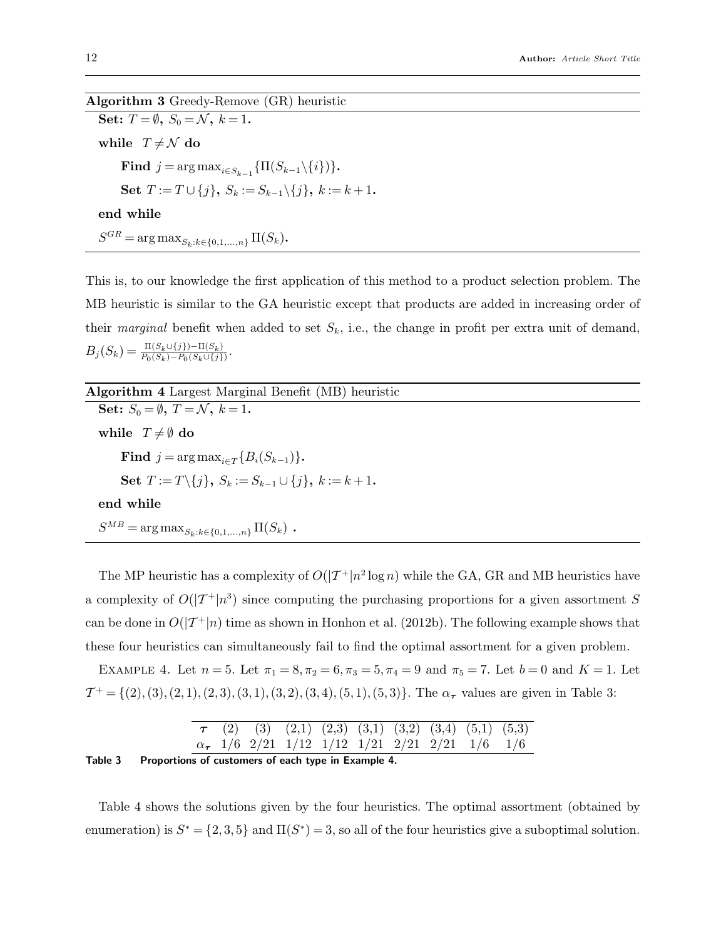Algorithm 3 Greedy-Remove (GR) heuristic Set:  $T = \emptyset$ ,  $S_0 = \mathcal{N}$ ,  $k = 1$ . while  $T \neq \mathcal{N}$  do Find  $j = \arg \max_{i \in S_{k-1}} {\{\Pi(S_{k-1} \setminus \{i\})\}}.$ Set  $T := T \cup \{j\}, S_k := S_{k-1} \setminus \{j\}, k := k+1$ . end while  $S^{GR} = \arg \max_{S_k: k \in \{0,1,...,n\}} \Pi(S_k)$ .

This is, to our knowledge the first application of this method to a product selection problem. The MB heuristic is similar to the GA heuristic except that products are added in increasing order of their marginal benefit when added to set  $S_k$ , i.e., the change in profit per extra unit of demand,  $B_j(S_k) = \frac{\Pi(S_k \cup \{j\}) - \Pi(S_k)}{P_0(S_k) - P_0(S_k \cup \{j\})}.$ 

Algorithm 4 Largest Marginal Benefit (MB) heuristic Set:  $S_0 = \emptyset$ ,  $T = \mathcal{N}$ ,  $k = 1$ . while  $T \neq \emptyset$  do Find  $j = \arg \max_{i \in \mathcal{T}} \{B_i(S_{k-1})\}.$ Set  $T := T \setminus \{j\}, S_k := S_{k-1} \cup \{j\}, k := k+1$ . end while  $S^{MB} = \arg \max_{S_k: k \in \{0,1,...,n\}} \Pi(S_k)$ .

The MP heuristic has a complexity of  $O(|\mathcal{T}^+|n^2\log n)$  while the GA, GR and MB heuristics have a complexity of  $O(|\mathcal{T}^+|n^3)$  since computing the purchasing proportions for a given assortment S can be done in  $O(|\mathcal{T}^+|n)$  time as shown in Honhon et al. (2012b). The following example shows that these four heuristics can simultaneously fail to find the optimal assortment for a given problem.

EXAMPLE 4. Let  $n = 5$ . Let  $\pi_1 = 8, \pi_2 = 6, \pi_3 = 5, \pi_4 = 9$  and  $\pi_5 = 7$ . Let  $b = 0$  and  $K = 1$ . Let  $T^+ = \{(2), (3), (2, 1), (2, 3), (3, 1), (3, 2), (3, 4), (5, 1), (5, 3)\}.$  The  $\alpha_{\tau}$  values are given in Table 3:

|                                                      |  |  |  | $\tau$ (2) (3) (2,1) (2,3) (3,1) (3,2) (3,4) (5,1) (5,3)  |  |  |  |  |  |  |
|------------------------------------------------------|--|--|--|-----------------------------------------------------------|--|--|--|--|--|--|
|                                                      |  |  |  | $\alpha_{\tau}$ 1/6 2/21 1/12 1/12 1/21 2/21 2/21 1/6 1/6 |  |  |  |  |  |  |
| ), an anti-se af acetamics af angletus in Francola 1 |  |  |  |                                                           |  |  |  |  |  |  |

Table 3 Proportions of customers of each type in Example 4.

Table 4 shows the solutions given by the four heuristics. The optimal assortment (obtained by enumeration) is  $S^* = \{2, 3, 5\}$  and  $\Pi(S^*) = 3$ , so all of the four heuristics give a suboptimal solution.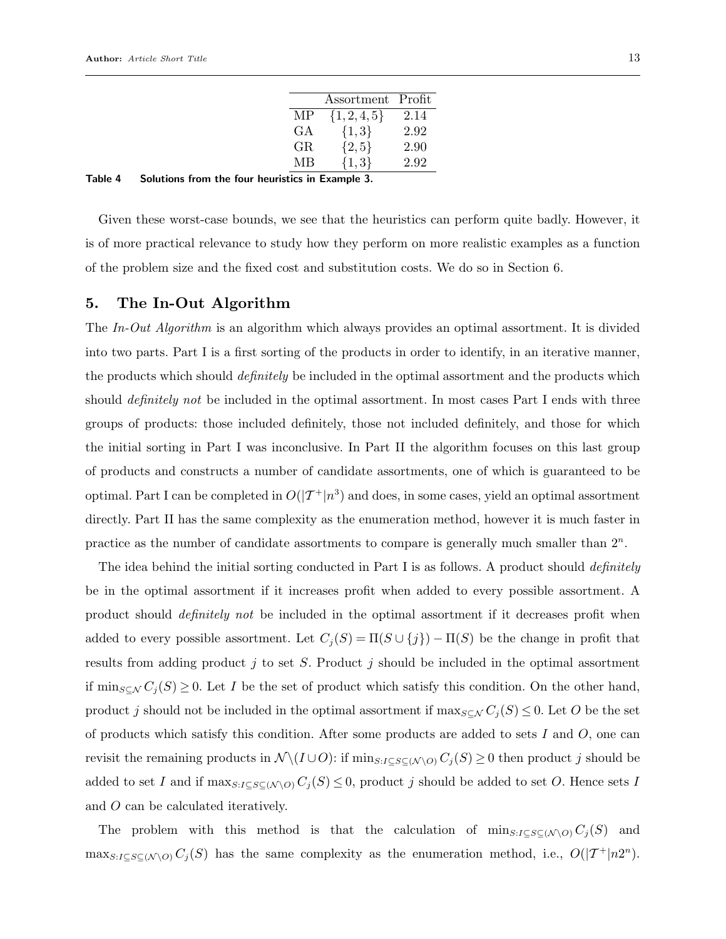|     | Assortment Profit |      |
|-----|-------------------|------|
| МP  | $\{1, 2, 4, 5\}$  | 2.14 |
| GА  | ${1,3}$           | 2.92 |
| GR. | ${2, 5}$          | 2.90 |
| MВ  | ${1,3}$           | 2.92 |

| Table 4 | Solutions from the four heuristics in Example 3. |  |  |  |  |  |  |  |
|---------|--------------------------------------------------|--|--|--|--|--|--|--|
|---------|--------------------------------------------------|--|--|--|--|--|--|--|

Given these worst-case bounds, we see that the heuristics can perform quite badly. However, it is of more practical relevance to study how they perform on more realistic examples as a function of the problem size and the fixed cost and substitution costs. We do so in Section 6.

#### 5. The In-Out Algorithm

The In-Out Algorithm is an algorithm which always provides an optimal assortment. It is divided into two parts. Part I is a first sorting of the products in order to identify, in an iterative manner, the products which should *definitely* be included in the optimal assortment and the products which should *definitely not* be included in the optimal assortment. In most cases Part I ends with three groups of products: those included definitely, those not included definitely, and those for which the initial sorting in Part I was inconclusive. In Part II the algorithm focuses on this last group of products and constructs a number of candidate assortments, one of which is guaranteed to be optimal. Part I can be completed in  $O(|\mathcal{T}^+|n^3)$  and does, in some cases, yield an optimal assortment directly. Part II has the same complexity as the enumeration method, however it is much faster in practice as the number of candidate assortments to compare is generally much smaller than  $2<sup>n</sup>$ .

The idea behind the initial sorting conducted in Part I is as follows. A product should *definitely* be in the optimal assortment if it increases profit when added to every possible assortment. A product should definitely not be included in the optimal assortment if it decreases profit when added to every possible assortment. Let  $C_j(S) = \Pi(S \cup \{j\}) - \Pi(S)$  be the change in profit that results from adding product  $j$  to set  $S$ . Product  $j$  should be included in the optimal assortment if  $\min_{S \subseteq \mathcal{N}} C_j(S) \geq 0$ . Let I be the set of product which satisfy this condition. On the other hand, product j should not be included in the optimal assortment if  $\max_{S \subseteq \mathcal{N}} C_j(S) \leq 0$ . Let O be the set of products which satisfy this condition. After some products are added to sets  $I$  and  $O$ , one can revisit the remaining products in  $\mathcal{N} \setminus (I \cup O)$ : if  $\min_{S: I \subseteq S \subseteq (\mathcal{N} \setminus O)} C_j(S) \geq 0$  then product j should be added to set I and if  $\max_{S:I\subseteq S\subseteq (N \setminus O)} C_j(S) \leq 0$ , product j should be added to set O. Hence sets I and O can be calculated iteratively.

The problem with this method is that the calculation of  $\min_{S:I\subseteq S\subseteq (N\setminus O)} C_j(S)$  and  $\max_{S: I \subseteq S \subseteq (N \setminus O)} C_j(S)$  has the same complexity as the enumeration method, i.e.,  $O(|\mathcal{T}^+|n2^n)$ .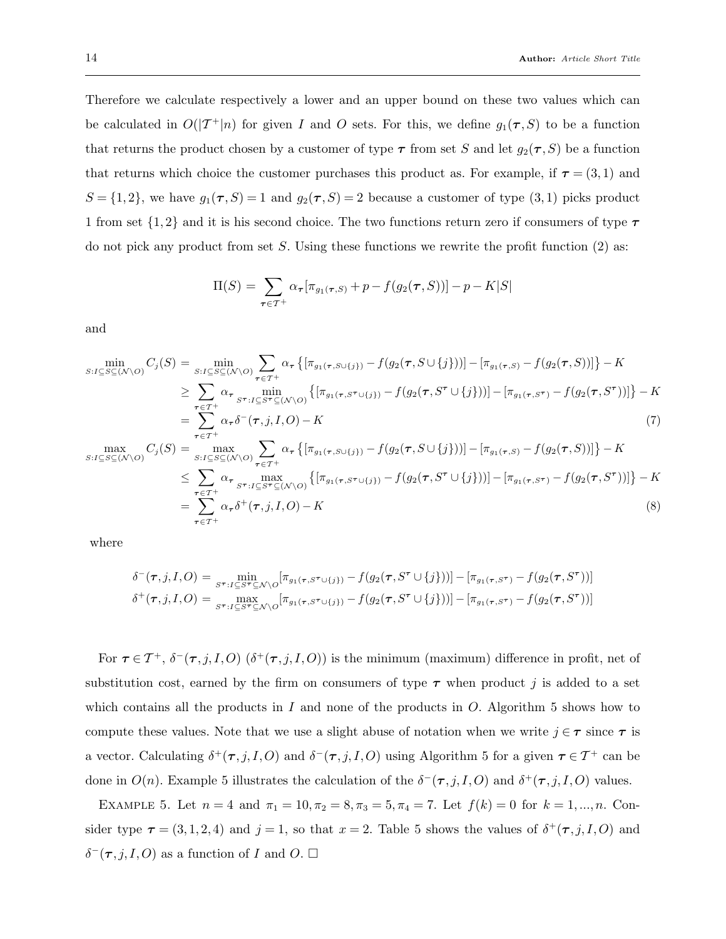Therefore we calculate respectively a lower and an upper bound on these two values which can be calculated in  $O(|\mathcal{T}^+|n)$  for given I and O sets. For this, we define  $g_1(\tau, S)$  to be a function that returns the product chosen by a customer of type  $\tau$  from set S and let  $g_2(\tau, S)$  be a function that returns which choice the customer purchases this product as. For example, if  $\tau = (3, 1)$  and  $S = \{1, 2\}$ , we have  $g_1(\tau, S) = 1$  and  $g_2(\tau, S) = 2$  because a customer of type  $(3, 1)$  picks product 1 from set  $\{1,2\}$  and it is his second choice. The two functions return zero if consumers of type  $\tau$ do not pick any product from set S. Using these functions we rewrite the profit function (2) as:

$$
\Pi(S) = \sum_{\tau \in \mathcal{T}^+} \alpha_{\tau} [\pi_{g_1(\tau, S)} + p - f(g_2(\tau, S))] - p - K|S|
$$

and

$$
\min_{S:I\subseteq S\subseteq(N\setminus O)} C_j(S) = \min_{S:I\subseteq S\subseteq(N\setminus O)} \sum_{\tau \in \mathcal{T}^+} \alpha_{\tau} \left\{ [\pi_{g_1(\tau, S\cup\{j\})} - f(g_2(\tau, S\cup\{j\}))] - [\pi_{g_1(\tau, S)} - f(g_2(\tau, S))] \right\} - K
$$
\n
$$
\geq \sum_{\tau \in \mathcal{T}^+} \alpha_{\tau} \min_{S^{\tau}:I\subseteq S^{\tau}\subseteq(N\setminus O)} \left\{ [\pi_{g_1(\tau, S^{\tau}\cup\{j\})} - f(g_2(\tau, S^{\tau}\cup\{j\}))] - [\pi_{g_1(\tau, S^{\tau})} - f(g_2(\tau, S^{\tau}))] \right\} - K
$$
\n
$$
= \sum_{\tau \in \mathcal{T}^+} \alpha_{\tau} \delta^{-}(\tau, j, I, O) - K
$$
\n
$$
\max_{S:I\subseteq S\subseteq(N\setminus O)} C_j(S) = \max_{S:I\subseteq S\subseteq(N\setminus O)} \sum_{\tau \in \mathcal{T}^+} \alpha_{\tau} \left\{ [\pi_{g_1(\tau, S\cup\{j\})} - f(g_2(\tau, S\cup\{j\}))] - [\pi_{g_1(\tau, S)} - f(g_2(\tau, S))] \right\} - K
$$
\n
$$
\leq \sum_{\tau \in \mathcal{T}^+} \alpha_{\tau} \max_{S^{\tau}:I\subseteq S^{\tau}\subseteq(N\setminus O)} \left\{ [\pi_{g_1(\tau, S^{\tau}\cup\{j\})} - f(g_2(\tau, S^{\tau}\cup\{j\}))] - [\pi_{g_1(\tau, S^{\tau})} - f(g_2(\tau, S^{\tau}))] \right\} - K
$$
\n
$$
= \sum_{\tau \in \mathcal{T}^+} \alpha_{\tau} \delta^{+}(\tau, j, I, O) - K
$$
\n(8)

where

$$
\delta^{-}(\tau, j, I, O) = \min_{S^{\tau} : I \subseteq S^{\tau} \subseteq \mathcal{N} \setminus O} [\pi_{g_1(\tau, S^{\tau} \cup \{j\})} - f(g_2(\tau, S^{\tau} \cup \{j\}))] - [\pi_{g_1(\tau, S^{\tau})} - f(g_2(\tau, S^{\tau}))]
$$

$$
\delta^{+}(\tau, j, I, O) = \max_{S^{\tau} : I \subseteq S^{\tau} \subseteq \mathcal{N} \setminus O} [\pi_{g_1(\tau, S^{\tau} \cup \{j\})} - f(g_2(\tau, S^{\tau} \cup \{j\}))] - [\pi_{g_1(\tau, S^{\tau})} - f(g_2(\tau, S^{\tau}))]
$$

For  $\tau \in \mathcal{T}^+$ ,  $\delta^-(\tau, j, I, O)$   $(\delta^+(\tau, j, I, O))$  is the minimum (maximum) difference in profit, net of substitution cost, earned by the firm on consumers of type  $\tau$  when product j is added to a set which contains all the products in  $I$  and none of the products in  $O$ . Algorithm 5 shows how to compute these values. Note that we use a slight abuse of notation when we write  $j \in \tau$  since  $\tau$  is a vector. Calculating  $\delta^+(\tau, j, I, O)$  and  $\delta^-(\tau, j, I, O)$  using Algorithm 5 for a given  $\tau \in \mathcal{T}^+$  can be done in  $O(n)$ . Example 5 illustrates the calculation of the  $\delta^-(\tau, j, I, O)$  and  $\delta^+(\tau, j, I, O)$  values.

EXAMPLE 5. Let  $n = 4$  and  $\pi_1 = 10, \pi_2 = 8, \pi_3 = 5, \pi_4 = 7$ . Let  $f(k) = 0$  for  $k = 1, ..., n$ . Consider type  $\tau = (3, 1, 2, 4)$  and  $j = 1$ , so that  $x = 2$ . Table 5 shows the values of  $\delta^+(\tau, j, I, O)$  and  $\delta^-(\tau, j, I, O)$  as a function of I and O.  $\Box$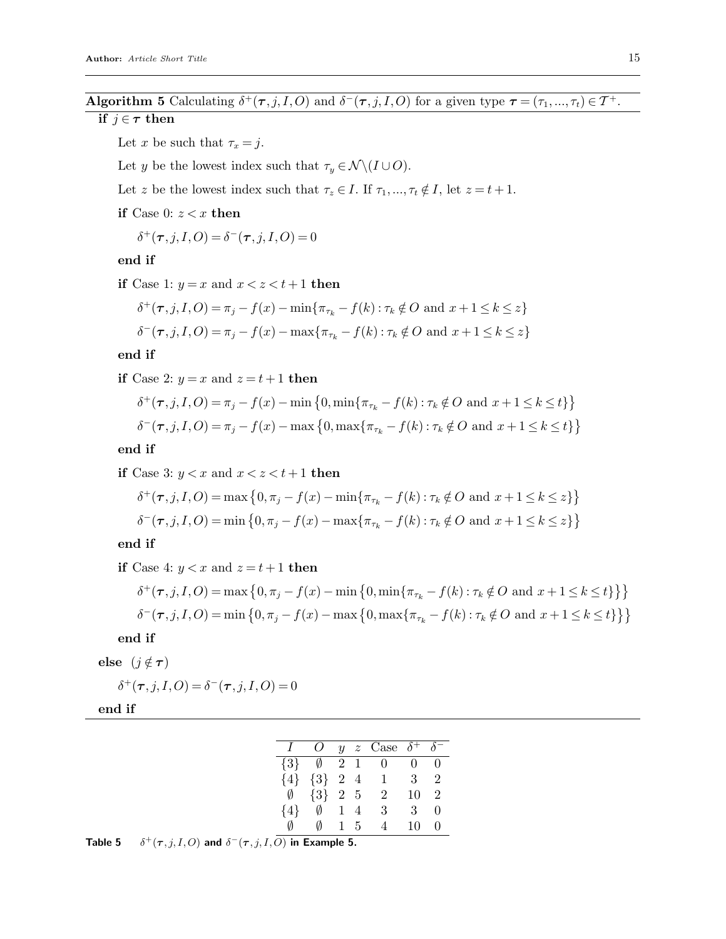## **Algorithm 5** Calculating  $\delta^+(\tau, j, I, O)$  and  $\delta^-(\tau, j, I, O)$  for a given type  $\tau = (\tau_1, ..., \tau_t) \in T^+$ .

## if  $j \in \tau$  then

Let x be such that  $\tau_x = j$ .

Let y be the lowest index such that  $\tau_y \in \mathcal{N} \setminus (I \cup O)$ .

Let z be the lowest index such that  $\tau_z \in I$ . If  $\tau_1, ..., \tau_t \notin I$ , let  $z = t + 1$ .

if Case 0:  $z < x$  then

 $\delta^+(\tau, j, I, O) = \delta^-(\tau, j, I, O) = 0$ 

#### end if

if Case 1:  $y = x$  and  $x < z < t + 1$  then

$$
\delta^+(\tau, j, I, O) = \pi_j - f(x) - \min\{\pi_{\tau_k} - f(k) : \tau_k \notin O \text{ and } x + 1 \le k \le z\}
$$
  

$$
\delta^-(\tau, j, I, O) = \pi_j - f(x) - \max\{\pi_{\tau_k} - f(k) : \tau_k \notin O \text{ and } x + 1 \le k \le z\}
$$

#### end if

if Case 2:  $y = x$  and  $z = t + 1$  then

$$
\delta^+(\tau, j, I, O) = \pi_j - f(x) - \min\{0, \min\{\pi_{\tau_k} - f(k) : \tau_k \notin O \text{ and } x + 1 \le k \le t\}\}\
$$

$$
\delta^-(\tau, j, I, O) = \pi_j - f(x) - \max\{0, \max\{\pi_{\tau_k} - f(k) : \tau_k \notin O \text{ and } x + 1 \le k \le t\}\}
$$

end if

\n if Case 3: 
$$
y < x
$$
 and  $x < z < t + 1$  then\n 
$$
\delta^+(\tau, j, I, O) = \max\left\{0, \pi_j - f(x) - \min\{\pi_{\tau_k} - f(k) : \tau_k \notin O \text{ and } x + 1 \leq k \leq z\}\right\}
$$
\n
$$
\delta^-(\tau, j, I, O) = \min\left\{0, \pi_j - f(x) - \max\{\pi_{\tau_k} - f(k) : \tau_k \notin O \text{ and } x + 1 \leq k \leq z\}\right\}
$$
\n

end if

if Case 4:  $y < x$  and  $z = t + 1$  then

$$
\delta^+(\tau, j, I, O) = \max \left\{ 0, \pi_j - f(x) - \min \left\{ 0, \min \{ \pi_{\tau_k} - f(k) : \tau_k \notin O \text{ and } x + 1 \le k \le t \} \right\} \right\}
$$
  

$$
\delta^-(\tau, j, I, O) = \min \left\{ 0, \pi_j - f(x) - \max \left\{ 0, \max \{ \pi_{\tau_k} - f(k) : \tau_k \notin O \text{ and } x + 1 \le k \le t \} \right\} \right\}
$$

#### end if

else  $(j \notin \tau)$ 

 $\delta^+(\tau, j, I, O) = \delta^-(\tau, j, I, O) = 0$ 

end if

|         | O.                      |              |                | y z Case $\delta^+$ $\delta^-$ |                |                |
|---------|-------------------------|--------------|----------------|--------------------------------|----------------|----------------|
|         | $\{3\}$ $\emptyset$ 2 1 |              |                | $\overline{0}$                 | $\overline{0}$ | $\mathbf{0}$   |
|         | ${4}$ ${3}$ 2 4         |              |                | 1                              | $\mathbf{3}$   | 2              |
| Ø       | ${3}$ 2 5               |              |                | $\overline{2}$                 | 10             | $\overline{2}$ |
| $\{4\}$ | Ø                       | $\mathbf{1}$ | $\overline{4}$ | 3                              | 3              | $\mathbf{0}$   |
| Ø       | Ø                       |              | $1\;\;5$       | 4                              | 10             | $\mathbf{0}$   |
|         |                         |              |                |                                |                |                |

Table 5  $^{+}(\tau, j, I, O)$  and  $\delta^{-}(\tau, j, I, O)$  in Example 5.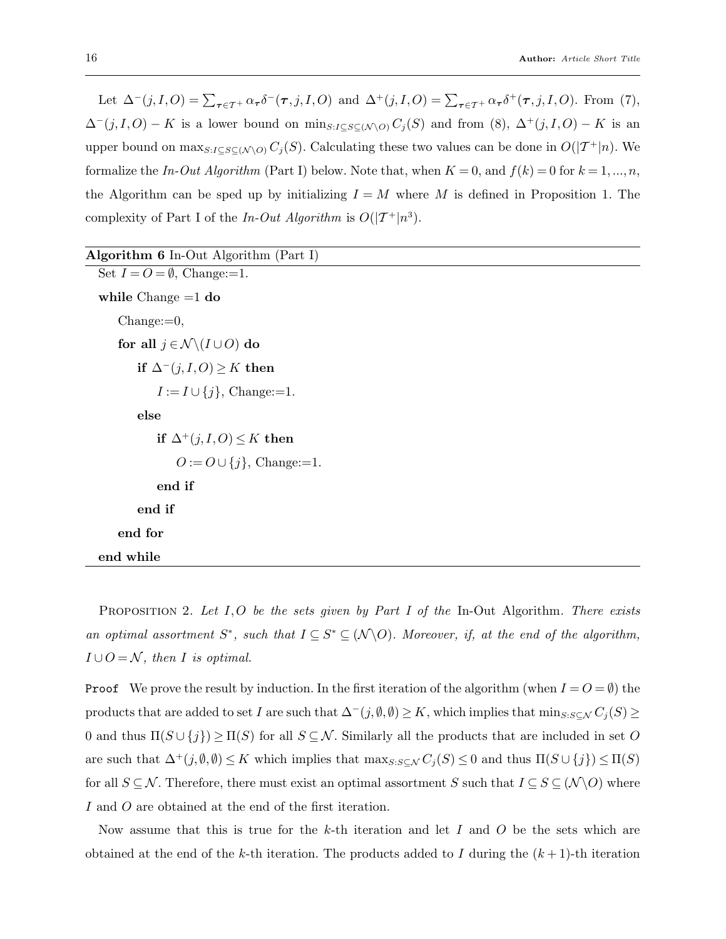Let  $\Delta^{-}(j, I, O) = \sum_{\tau \in \mathcal{T}^{+}} \alpha_{\tau} \delta^{-}(\tau, j, I, O)$  and  $\Delta^{+}(j, I, O) = \sum_{\tau \in \mathcal{T}^{+}} \alpha_{\tau} \delta^{+}(\tau, j, I, O)$ . From (7),  $\Delta^-(j, I, O) - K$  is a lower bound on min<sub>S:I⊆S⊆(N\O)</sub> C<sub>j</sub>(S) and from (8),  $\Delta^+(j, I, O) - K$  is an upper bound on  $\max_{S:I\subseteq S\subseteq (N \setminus O)} C_j(S)$ . Calculating these two values can be done in  $O(|\mathcal{T}^+|n)$ . We formalize the In-Out Algorithm (Part I) below. Note that, when  $K = 0$ , and  $f(k) = 0$  for  $k = 1, ..., n$ , the Algorithm can be sped up by initializing  $I = M$  where M is defined in Proposition 1. The complexity of Part I of the In-Out Algorithm is  $O(|\mathcal{T}^+|n^3)$ .

| Algorithm $6$ In-Out Algorithm (Part I)             |
|-----------------------------------------------------|
| Set $I = O = \emptyset$ , Change:=1.                |
| while Change $=1$ do                                |
| $Change:=0,$                                        |
| for all $j \in \mathcal{N} \setminus (I \cup O)$ do |
| if $\Delta^-(j,I,O) \geq K$ then                    |
| $I := I \cup \{j\}$ , Change:=1.                    |
| else                                                |
| if $\Delta^+(j,I,O) \leq K$ then                    |
| $O:=O\cup\{j\}$ , Change:=1.                        |
| end if                                              |
| end if                                              |
| end for                                             |
| end while                                           |

PROPOSITION 2. Let  $I, O$  be the sets given by Part I of the In-Out Algorithm. There exists an optimal assortment  $S^*$ , such that  $I \subseteq S^* \subseteq (\mathcal{N} \backslash O)$ . Moreover, if, at the end of the algorithm,  $I \cup O = \mathcal{N}$ , then I is optimal.

**Proof** We prove the result by induction. In the first iteration of the algorithm (when  $I = O = \emptyset$ ) the products that are added to set I are such that  $\Delta^-(j, \emptyset, \emptyset) \ge K$ , which implies that  $\min_{S: S \subseteq \mathcal{N}} C_j(S) \ge$ 0 and thus  $\Pi(S \cup \{j\}) \ge \Pi(S)$  for all  $S \subseteq \mathcal{N}$ . Similarly all the products that are included in set O are such that  $\Delta^+(j, \emptyset, \emptyset) \leq K$  which implies that  $\max_{S: S \subseteq \mathcal{N}} C_j(S) \leq 0$  and thus  $\Pi(S \cup \{j\}) \leq \Pi(S)$ for all  $S \subseteq \mathcal{N}$ . Therefore, there must exist an optimal assortment S such that  $I \subseteq S \subseteq (\mathcal{N} \setminus O)$  where I and O are obtained at the end of the first iteration.

Now assume that this is true for the k-th iteration and let I and O be the sets which are obtained at the end of the k-th iteration. The products added to I during the  $(k+1)$ -th iteration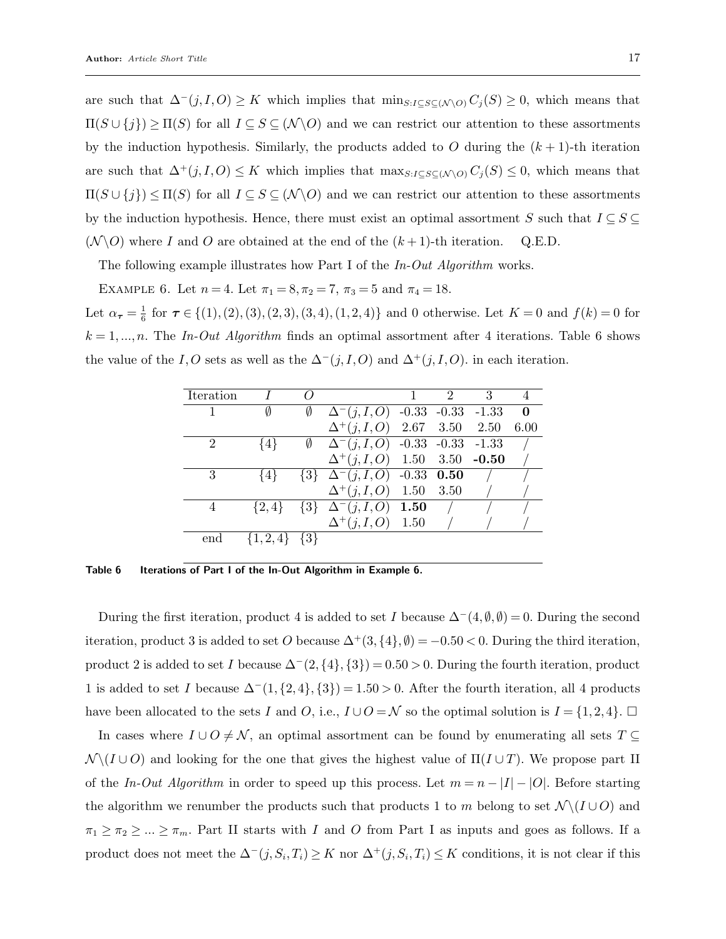are such that  $\Delta^{-}(j, I, O) \geq K$  which implies that  $\min_{S: I \subseteq S \subseteq (N \setminus O)} C_j(S) \geq 0$ , which means that  $\Pi(S \cup \{j\}) \geq \Pi(S)$  for all  $I \subseteq S \subseteq (\mathcal{N} \setminus O)$  and we can restrict our attention to these assortments by the induction hypothesis. Similarly, the products added to O during the  $(k+1)$ -th iteration are such that  $\Delta^+(j, I, O) \leq K$  which implies that  $\max_{S: I \subseteq S \subseteq (N \setminus O)} C_j(S) \leq 0$ , which means that  $\Pi(S \cup \{j\}) \leq \Pi(S)$  for all  $I \subseteq S \subseteq (\mathcal{N} \setminus O)$  and we can restrict our attention to these assortments by the induction hypothesis. Hence, there must exist an optimal assortment S such that  $I \subseteq S \subseteq$  $(N \backslash O)$  where I and O are obtained at the end of the  $(k+1)$ -th iteration. Q.E.D.

The following example illustrates how Part I of the  $In$ -Out Algorithm works.

EXAMPLE 6. Let  $n = 4$ . Let  $\pi_1 = 8, \pi_2 = 7, \pi_3 = 5 \text{ and } \pi_4 = 18$ .

Let  $\alpha_{\tau} = \frac{1}{6}$  $\frac{1}{6}$  for  $\tau \in \{(1), (2), (3), (2, 3), (3, 4), (1, 2, 4)\}$  and 0 otherwise. Let  $K = 0$  and  $f(k) = 0$  for  $k = 1, ..., n$ . The In-Out Algorithm finds an optimal assortment after 4 iterations. Table 6 shows the value of the I,O sets as well as the  $\Delta^-(j, I, O)$  and  $\Delta^+(j, I, O)$ . in each iteration.

| Iteration |             |         |                                                       | 1 | $\mathcal{D}$ | 3 |          |
|-----------|-------------|---------|-------------------------------------------------------|---|---------------|---|----------|
|           | Ø           | Ø       | $\Delta^{-}(j, I, O)$ -0.33 -0.33 -1.33               |   |               |   | $\bf{0}$ |
|           |             |         | $\Delta^+(j,I,O)$ 2.67 3.50 2.50                      |   |               |   | 6.00     |
| 2         | {4}         | Ø       | $\Delta^{-}(j, I, O)$ -0.33 -0.33 -1.33               |   |               |   |          |
|           |             |         | $\Delta^+(j,I,O)$ 1.50 3.50 -0.50                     |   |               |   |          |
| 3         | {4}         |         | $\{3\}$ $\Delta^{-}(j, I, O)$ $\overline{-0.33}$ 0.50 |   |               |   |          |
|           |             |         | $\Delta^+(j, I, O)$ 1.50                              |   | - 3.50        |   |          |
| 4         | $\{2,4\}$   | $\{3\}$ | $\Delta^{-}(j, I, O)$ 1.50                            |   |               |   |          |
|           |             |         | $\Delta^+(j, I, O)$ 1.50                              |   |               |   |          |
| end       | $\{1,2,4\}$ | $\{3\}$ |                                                       |   |               |   |          |
|           |             |         |                                                       |   |               |   |          |

Table 6 Iterations of Part I of the In-Out Algorithm in Example 6.

During the first iteration, product 4 is added to set I because  $\Delta^{-}(4, \emptyset, \emptyset) = 0$ . During the second iteration, product 3 is added to set O because  $\Delta^+(3, \{4\}, \emptyset) = -0.50 < 0$ . During the third iteration, product 2 is added to set I because  $\Delta^-(2, \{4\}, \{3\}) = 0.50 > 0$ . During the fourth iteration, product 1 is added to set I because  $\Delta^{-}(1, \{2, 4\}, \{3\}) = 1.50 > 0$ . After the fourth iteration, all 4 products have been allocated to the sets I and O, i.e.,  $I \cup O = \mathcal{N}$  so the optimal solution is  $I = \{1, 2, 4\}$ .

In cases where  $I \cup O \neq \mathcal{N}$ , an optimal assortment can be found by enumerating all sets  $T \subseteq$  $\mathcal{N} \setminus (I \cup O)$  and looking for the one that gives the highest value of  $\Pi(I \cup T)$ . We propose part II of the In-Out Algorithm in order to speed up this process. Let  $m = n - |I| - |O|$ . Before starting the algorithm we renumber the products such that products 1 to m belong to set  $\mathcal{N} \setminus (I \cup O)$  and  $\pi_1 \geq \pi_2 \geq \ldots \geq \pi_m$ . Part II starts with I and O from Part I as inputs and goes as follows. If a product does not meet the  $\Delta^-(j, S_i, T_i) \geq K$  nor  $\Delta^+(j, S_i, T_i) \leq K$  conditions, it is not clear if this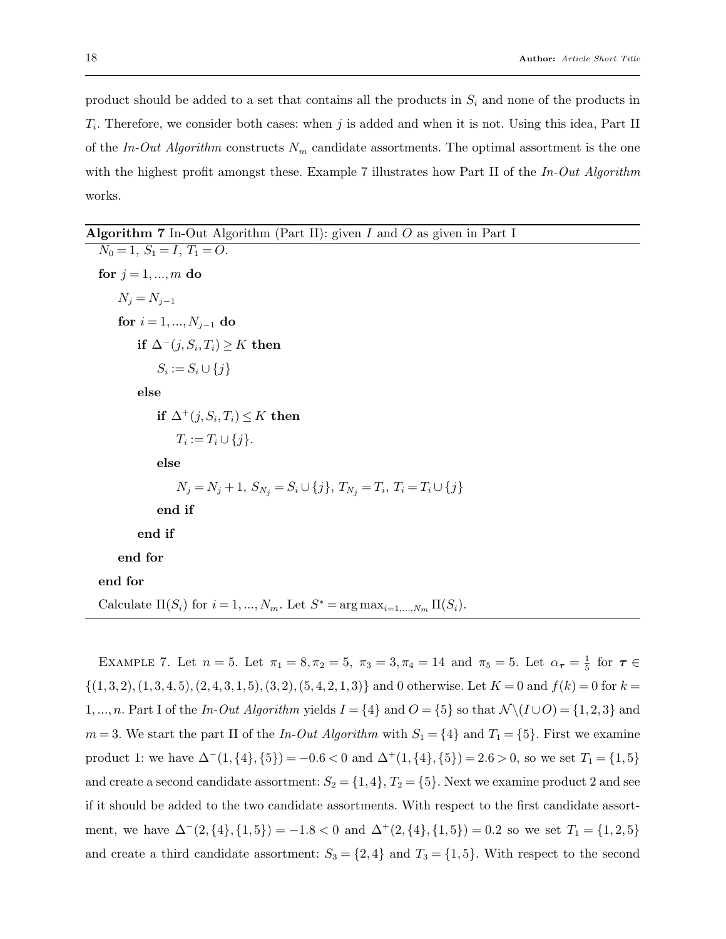product should be added to a set that contains all the products in  $S_i$  and none of the products in  $T_i$ . Therefore, we consider both cases: when j is added and when it is not. Using this idea, Part II of the In-Out Algorithm constructs  $N_m$  candidate assortments. The optimal assortment is the one with the highest profit amongst these. Example 7 illustrates how Part II of the  $In-Out Algorithm$ works.

# **Algorithm 7** In-Out Algorithm (Part II): given  $I$  and  $O$  as given in Part I

 $N_0 = 1, S_1 = I, T_1 = O.$ for  $j = 1, ..., m$  do  $N_i = N_{i-1}$ for  $i = 1, ..., N_{i-1}$  do if  $\Delta^-(j, S_i, T_i) \geq K$  then  $S_i := S_i \cup \{j\}$ else if  $\Delta^+(j,S_i,T_i) \leq K$  then  $T_i := T_i \cup \{j\}.$ else  $N_j = N_j + 1, S_{N_j} = S_i \cup \{j\}, T_{N_j} = T_i, T_i = T_i \cup \{j\}$ end if end if end for end for Calculate  $\Pi(S_i)$  for  $i = 1, ..., N_m$ . Let  $S^* = \arg \max_{i=1,...,N_m} \Pi(S_i)$ .

EXAMPLE 7. Let  $n = 5$ . Let  $\pi_1 = 8, \pi_2 = 5, \pi_3 = 3, \pi_4 = 14$  and  $\pi_5 = 5$ . Let  $\alpha_{\tau} = \frac{1}{5}$  $\frac{1}{5}$  for  $\tau \in$  $\{(1,3,2),(1,3,4,5),(2,4,3,1,5),(3,2),(5,4,2,1,3)\}\$ and 0 otherwise. Let  $K=0$  and  $f(k)=0$  for  $k=0$ 1,..., n. Part I of the In-Out Algorithm yields  $I = \{4\}$  and  $O = \{5\}$  so that  $\mathcal{N}(I \cup O) = \{1, 2, 3\}$  and  $m = 3$ . We start the part II of the In-Out Algorithm with  $S_1 = \{4\}$  and  $T_1 = \{5\}$ . First we examine product 1: we have  $\Delta^{-}(1, \{4\}, \{5\}) = -0.6 < 0$  and  $\Delta^{+}(1, \{4\}, \{5\}) = 2.6 > 0$ , so we set  $T_1 = \{1, 5\}$ and create a second candidate assortment:  $S_2 = \{1, 4\}, T_2 = \{5\}$ . Next we examine product 2 and see if it should be added to the two candidate assortments. With respect to the first candidate assortment, we have  $\Delta^{-}(2, \{4\}, \{1, 5\}) = -1.8 < 0$  and  $\Delta^{+}(2, \{4\}, \{1, 5\}) = 0.2$  so we set  $T_1 = \{1, 2, 5\}$ and create a third candidate assortment:  $S_3 = \{2, 4\}$  and  $T_3 = \{1, 5\}$ . With respect to the second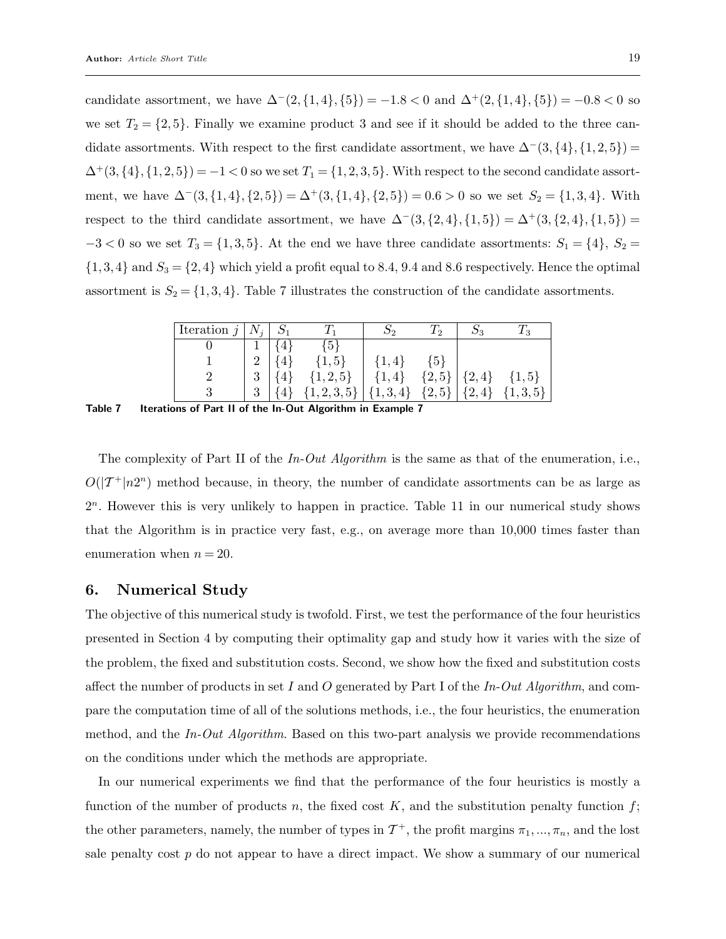candidate assortment, we have  $\Delta^{-}(2, \{1,4\}, \{5\}) = -1.8 < 0$  and  $\Delta^{+}(2, \{1,4\}, \{5\}) = -0.8 < 0$  so we set  $T_2 = \{2, 5\}$ . Finally we examine product 3 and see if it should be added to the three candidate assortments. With respect to the first candidate assortment, we have  $\Delta^-(3,\{4\},\{1,2,5\})$  =  $\Delta^+(3, \{4\}, \{1, 2, 5\}) = -1 < 0$  so we set  $T_1 = \{1, 2, 3, 5\}$ . With respect to the second candidate assortment, we have  $\Delta^{-}(3, \{1,4\}, \{2,5\}) = \Delta^{+}(3, \{1,4\}, \{2,5\}) = 0.6 > 0$  so we set  $S_2 = \{1,3,4\}$ . With respect to the third candidate assortment, we have  $\Delta^{-}(3,\{2,4\},\{1,5\}) = \Delta^{+}(3,\{2,4\},\{1,5\}) =$  $-3 < 0$  so we set  $T_3 = \{1, 3, 5\}$ . At the end we have three candidate assortments:  $S_1 = \{4\}$ ,  $S_2 =$  $\{1,3,4\}$  and  $S_3 = \{2,4\}$  which yield a profit equal to 8.4, 9.4 and 8.6 respectively. Hence the optimal assortment is  $S_2 = \{1, 3, 4\}$ . Table 7 illustrates the construction of the candidate assortments.

| Iteration $j$ | $N_i$ |         |                                                                   |           | $\sqrt{2}$     | ວາ              | 1 o        |
|---------------|-------|---------|-------------------------------------------------------------------|-----------|----------------|-----------------|------------|
|               |       |         | ${5}$                                                             |           |                |                 |            |
|               | റ     |         | $\{1, 5\}$                                                        | $\{1,4\}$ | $\overline{5}$ |                 |            |
|               | 3     | $\{4\}$ | $\{1, 2, 5\}$                                                     | $\{1,4\}$ |                | ${2,5}   {2,4}$ | $\{1, 5\}$ |
|               | 3     |         | $\{4\}$ $\{1,2,3,5\}$ $\{1,3,4\}$ $\{2,5\}$ $\{2,4\}$ $\{1,3,5\}$ |           |                |                 |            |

Table 7 Iterations of Part II of the In-Out Algorithm in Example 7

The complexity of Part II of the  $In-Out$  Algorithm is the same as that of the enumeration, i.e.,  $O(|\mathcal{T}^+|n2^n)$  method because, in theory, the number of candidate assortments can be as large as 2 n . However this is very unlikely to happen in practice. Table 11 in our numerical study shows that the Algorithm is in practice very fast, e.g., on average more than 10,000 times faster than enumeration when  $n = 20$ .

### 6. Numerical Study

The objective of this numerical study is twofold. First, we test the performance of the four heuristics presented in Section 4 by computing their optimality gap and study how it varies with the size of the problem, the fixed and substitution costs. Second, we show how the fixed and substitution costs affect the number of products in set I and O generated by Part I of the In-Out Algorithm, and compare the computation time of all of the solutions methods, i.e., the four heuristics, the enumeration method, and the In-Out Algorithm. Based on this two-part analysis we provide recommendations on the conditions under which the methods are appropriate.

In our numerical experiments we find that the performance of the four heuristics is mostly a function of the number of products n, the fixed cost  $K$ , and the substitution penalty function  $f$ ; the other parameters, namely, the number of types in  $\mathcal{T}^+$ , the profit margins  $\pi_1, ..., \pi_n$ , and the lost sale penalty cost  $p$  do not appear to have a direct impact. We show a summary of our numerical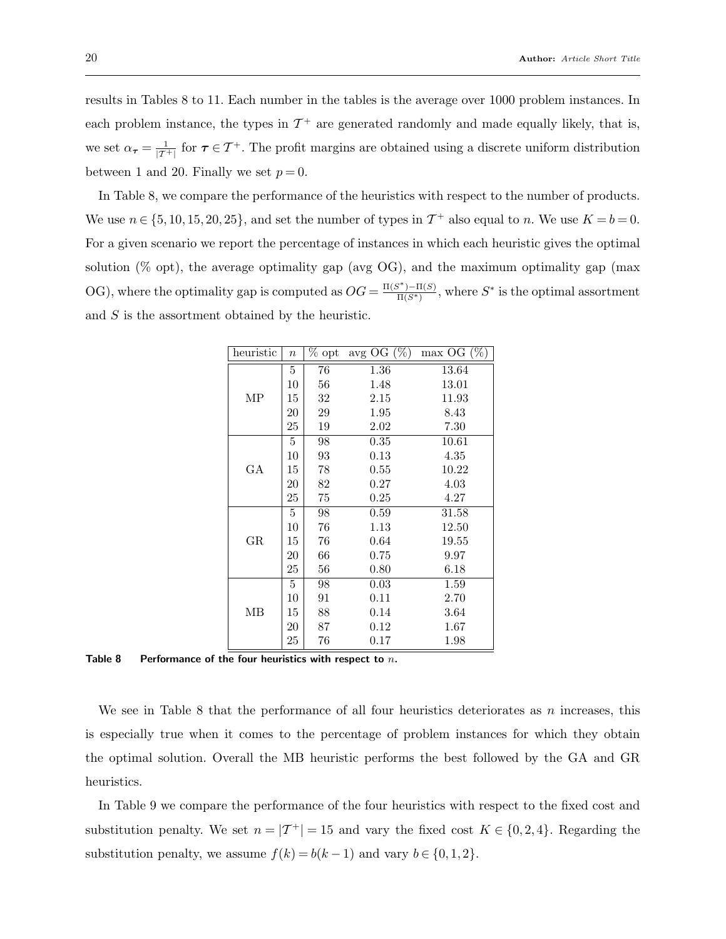results in Tables 8 to 11. Each number in the tables is the average over 1000 problem instances. In each problem instance, the types in  $\mathcal{T}^+$  are generated randomly and made equally likely, that is, we set  $\alpha_{\tau} = \frac{1}{|T^+|}$  for  $\tau \in T^+$ . The profit margins are obtained using a discrete uniform distribution between 1 and 20. Finally we set  $p=0$ .

In Table 8, we compare the performance of the heuristics with respect to the number of products. We use  $n \in \{5, 10, 15, 20, 25\}$ , and set the number of types in  $\mathcal{T}^+$  also equal to n. We use  $K = b = 0$ . For a given scenario we report the percentage of instances in which each heuristic gives the optimal solution  $(\%$  opt), the average optimality gap (avg OG), and the maximum optimality gap (max OG), where the optimality gap is computed as  $OG = \frac{\Pi(S^*) - \Pi(S)}{\Pi(S^*)}$ , where  $S^*$  is the optimal assortment and S is the assortment obtained by the heuristic.

| heuristic | $\boldsymbol{n}$ | $%$ opt | avg OG $(\%)$ | $max OG (\%)$ |
|-----------|------------------|---------|---------------|---------------|
|           | 5                | 76      | 1.36          | 13.64         |
|           | 10               | 56      | 1.48          | 13.01         |
| MP        | 15               | 32      | 2.15          | 11.93         |
|           | 20               | 29      | 1.95          | 8.43          |
|           | 25               | 19      | 2.02          | 7.30          |
|           | 5                | 98      | 0.35          | 10.61         |
|           | 10               | 93      | 0.13          | 4.35          |
| GА        | 15               | 78      | $0.55\,$      | 10.22         |
|           | 20               | 82      | $0.27\,$      | 4.03          |
|           | 25               | 75      | $0.25\,$      | 4.27          |
|           | 5                | 98      | 0.59          | 31.58         |
|           | 10               | 76      | 1.13          | 12.50         |
| GR        | 15               | 76      | 0.64          | 19.55         |
|           | 20               | 66      | 0.75          | 9.97          |
|           | 25               | 56      | 0.80          | 6.18          |
|           | 5                | 98      | $0.03\,$      | 1.59          |
|           | 10               | 91      | 0.11          | 2.70          |
| ΜВ        | 15               | 88      | 0.14          | 3.64          |
|           | 20               | 87      | $0.12\,$      | 1.67          |
|           | 25               | 76      | 0.17          | 1.98          |

Table 8 Performance of the four heuristics with respect to  $n$ .

We see in Table 8 that the performance of all four heuristics deteriorates as  $n$  increases, this is especially true when it comes to the percentage of problem instances for which they obtain the optimal solution. Overall the MB heuristic performs the best followed by the GA and GR heuristics.

In Table 9 we compare the performance of the four heuristics with respect to the fixed cost and substitution penalty. We set  $n = |T^+| = 15$  and vary the fixed cost  $K \in \{0, 2, 4\}$ . Regarding the substitution penalty, we assume  $f(k) = b(k-1)$  and vary  $b \in \{0, 1, 2\}.$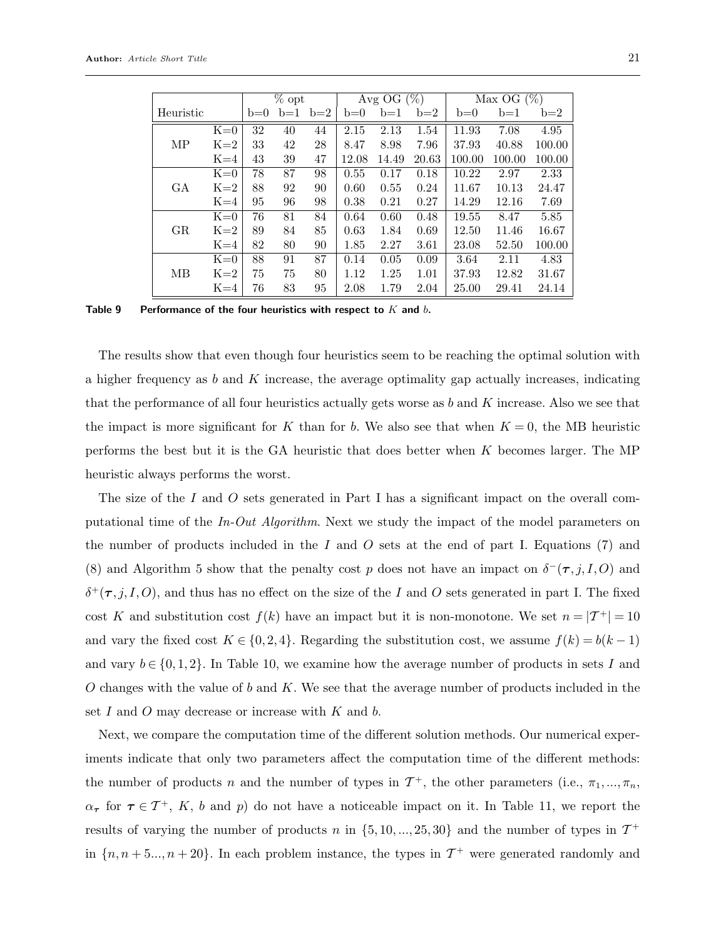|           |       |       | $%$ opt |       |       | Avg OG $(\%)$ |       |        | Max OG $(\sqrt{\frac{1}{0}})$ |        |  |
|-----------|-------|-------|---------|-------|-------|---------------|-------|--------|-------------------------------|--------|--|
| Heuristic |       | $b=0$ | $b=1$   | $b=2$ | $b=0$ | $b=1$         | $b=2$ | $b=0$  | $b=1$                         | $b=2$  |  |
|           | $K=0$ | 32    | 40      | 44    | 2.15  | 2.13          | 1.54  | 11.93  | 7.08                          | 4.95   |  |
| MP        | $K=2$ | 33    | 42      | 28    | 8.47  | 8.98          | 7.96  | 37.93  | 40.88                         | 100.00 |  |
|           | $K=4$ | 43    | 39      | 47    | 12.08 | 14.49         | 20.63 | 100.00 | 100.00                        | 100.00 |  |
|           | $K=0$ | 78    | 87      | 98    | 0.55  | 0.17          | 0.18  | 10.22  | 2.97                          | 2.33   |  |
| GА        | $K=2$ | 88    | 92      | 90    | 0.60  | 0.55          | 0.24  | 11.67  | 10.13                         | 24.47  |  |
|           | $K=4$ | 95    | 96      | 98    | 0.38  | 0.21          | 0.27  | 14.29  | 12.16                         | 7.69   |  |
|           | $K=0$ | 76    | 81      | 84    | 0.64  | 0.60          | 0.48  | 19.55  | 8.47                          | 5.85   |  |
| GR        | $K=2$ | 89    | 84      | 85    | 0.63  | 1.84          | 0.69  | 12.50  | 11.46                         | 16.67  |  |
|           | $K=4$ | 82    | 80      | 90    | 1.85  | 2.27          | 3.61  | 23.08  | 52.50                         | 100.00 |  |
|           | $K=0$ | 88    | 91      | 87    | 0.14  | 0.05          | 0.09  | 3.64   | 2.11                          | 4.83   |  |
| MВ        | $K=2$ | 75    | 75      | 80    | 1.12  | 1.25          | 1.01  | 37.93  | 12.82                         | 31.67  |  |
|           | $K=4$ | 76    | 83      | 95    | 2.08  | 1.79          | 2.04  | 25.00  | 29.41                         | 24.14  |  |

Table 9 Performance of the four heuristics with respect to  $K$  and  $b$ .

The results show that even though four heuristics seem to be reaching the optimal solution with a higher frequency as  $b$  and  $K$  increase, the average optimality gap actually increases, indicating that the performance of all four heuristics actually gets worse as  $b$  and  $K$  increase. Also we see that the impact is more significant for K than for b. We also see that when  $K = 0$ , the MB heuristic performs the best but it is the GA heuristic that does better when K becomes larger. The MP heuristic always performs the worst.

The size of the I and O sets generated in Part I has a significant impact on the overall computational time of the In-Out Algorithm. Next we study the impact of the model parameters on the number of products included in the I and O sets at the end of part I. Equations  $(7)$  and (8) and Algorithm 5 show that the penalty cost p does not have an impact on  $\delta^-(\tau, j, I, O)$  and  $\delta^+(\tau, j, I, O)$ , and thus has no effect on the size of the I and O sets generated in part I. The fixed cost K and substitution cost  $f(k)$  have an impact but it is non-monotone. We set  $n = |T^+| = 10$ and vary the fixed cost  $K \in \{0, 2, 4\}$ . Regarding the substitution cost, we assume  $f(k) = b(k-1)$ and vary  $b \in \{0, 1, 2\}$ . In Table 10, we examine how the average number of products in sets I and O changes with the value of b and K. We see that the average number of products included in the set I and O may decrease or increase with  $K$  and  $b$ .

Next, we compare the computation time of the different solution methods. Our numerical experiments indicate that only two parameters affect the computation time of the different methods: the number of products n and the number of types in  $\mathcal{T}^+$ , the other parameters (i.e.,  $\pi_1, ..., \pi_n$ ,  $\alpha_{\tau}$  for  $\tau \in \mathcal{T}^+$ , K, b and p) do not have a noticeable impact on it. In Table 11, we report the results of varying the number of products n in  $\{5, 10, ..., 25, 30\}$  and the number of types in  $\mathcal{T}^+$ in  $\{n, n+5..., n+20\}$ . In each problem instance, the types in  $\mathcal{T}^+$  were generated randomly and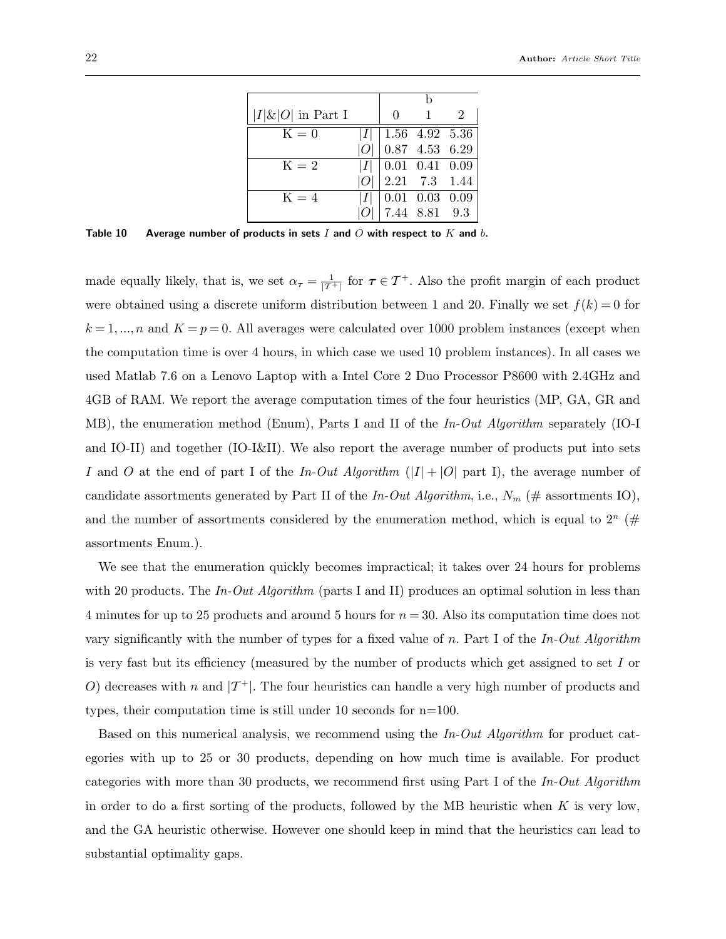| $ I \& O $ in Part I | $\cup$                                                                                                      |               |  |
|----------------------|-------------------------------------------------------------------------------------------------------------|---------------|--|
| $K=0$                |                                                                                                             |               |  |
|                      | $\begin{array}{ l } \hline  I  & 1.56 & 4.92 & 5.36 \ \hline  O  & 0.87 & 4.53 & 6.29 \ \hline \end{array}$ |               |  |
| $K=2$                | $ I $ 0.01 0.41 0.09                                                                                        |               |  |
|                      | $2.21$ 7.3 1.44                                                                                             |               |  |
| $K = 4$              | $ I $   0.01 0.03 0.09                                                                                      |               |  |
|                      |                                                                                                             | 7.44 8.81 9.3 |  |

Table 10 Average number of products in sets  $I$  and  $O$  with respect to  $K$  and  $b$ .

made equally likely, that is, we set  $\alpha_{\tau} = \frac{1}{|\mathcal{T}^+|}$  for  $\tau \in \mathcal{T}^+$ . Also the profit margin of each product were obtained using a discrete uniform distribution between 1 and 20. Finally we set  $f(k) = 0$  for  $k = 1,...,n$  and  $K = p = 0$ . All averages were calculated over 1000 problem instances (except when the computation time is over 4 hours, in which case we used 10 problem instances). In all cases we used Matlab 7.6 on a Lenovo Laptop with a Intel Core 2 Duo Processor P8600 with 2.4GHz and 4GB of RAM. We report the average computation times of the four heuristics (MP, GA, GR and MB), the enumeration method (Enum), Parts I and II of the In-Out Algorithm separately (IO-I and IO-II) and together (IO-I&II). We also report the average number of products put into sets I and O at the end of part I of the In-Out Algorithm  $(|I|+|O|)$  part I, the average number of candidate assortments generated by Part II of the In-Out Algorithm, i.e.,  $N_m$  (# assortments IO), and the number of assortments considered by the enumeration method, which is equal to  $2^n$  (# assortments Enum.).

We see that the enumeration quickly becomes impractical; it takes over 24 hours for problems with 20 products. The In-Out Algorithm (parts I and II) produces an optimal solution in less than 4 minutes for up to 25 products and around 5 hours for  $n = 30$ . Also its computation time does not vary significantly with the number of types for a fixed value of n. Part I of the  $In$ -Out Algorithm is very fast but its efficiency (measured by the number of products which get assigned to set I or O) decreases with n and  $|\mathcal{T}^+|$ . The four heuristics can handle a very high number of products and types, their computation time is still under 10 seconds for n=100.

Based on this numerical analysis, we recommend using the In-Out Algorithm for product categories with up to 25 or 30 products, depending on how much time is available. For product categories with more than 30 products, we recommend first using Part I of the In-Out Algorithm in order to do a first sorting of the products, followed by the MB heuristic when  $K$  is very low, and the GA heuristic otherwise. However one should keep in mind that the heuristics can lead to substantial optimality gaps.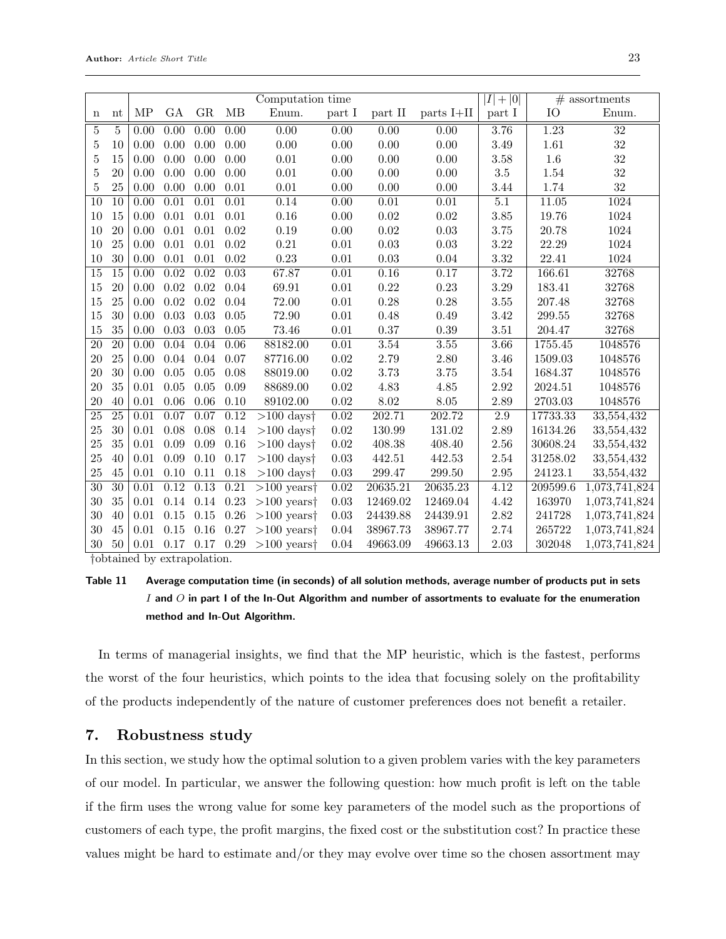|                 |                 | Computation time           |                   |                   |                   |                                              |                   |                   |                   | $ \overline{I} + 0 $ | $#$ assortments |                 |
|-----------------|-----------------|----------------------------|-------------------|-------------------|-------------------|----------------------------------------------|-------------------|-------------------|-------------------|----------------------|-----------------|-----------------|
| $\mathbf n$     | nt              | $\ensuremath{\mathrm{MP}}$ | GA                | GR                | MB                | Enum.                                        | part I            | part II           | parts I+II        | part I               | IO              | Enum.           |
| $\overline{5}$  | 5               | 0.00                       | $\overline{0.00}$ | $\overline{0.00}$ | 0.00              | 0.00                                         | $\overline{0.00}$ | 0.00              | 0.00              | 3.76                 | 1.23            | $\overline{32}$ |
| $\overline{5}$  | 10              | 0.00                       | 0.00              | 0.00              | 0.00              | 0.00                                         | 0.00              | 0.00              | 0.00              | 3.49                 | 1.61            | $32\,$          |
| $\overline{5}$  | 15              | 0.00                       | 0.00              | 0.00              | 0.00              | $0.01\,$                                     | 0.00              | 0.00              | 0.00              | 3.58                 | $1.6\,$         | $32\,$          |
| $\overline{5}$  | 20              | 0.00                       | 0.00              | 0.00              | 0.00              | 0.01                                         | 0.00              | 0.00              | 0.00              | 3.5                  | 1.54            | 32              |
| 5               | 25              | 0.00                       | 0.00              | 0.00              | 0.01              | $0.01\,$                                     | 0.00              | 0.00              | 0.00              | 3.44                 | 1.74            | $32\,$          |
| $\overline{10}$ | $\overline{10}$ | 0.00                       | $\overline{0.01}$ | $\overline{0.01}$ | $\overline{0.01}$ | 0.14                                         | 0.00              | $\overline{0.01}$ | $\overline{0.01}$ | $\overline{5.1}$     | 11.05           | 1024            |
| 10              | 15              | 0.00                       | 0.01              | 0.01              | 0.01              | 0.16                                         | 0.00              | 0.02              | 0.02              | 3.85                 | 19.76           | 1024            |
| 10              | 20              | 0.00                       | 0.01              | 0.01              | 0.02              | 0.19                                         | 0.00              | 0.02              | 0.03              | 3.75                 | 20.78           | 1024            |
| 10              | 25              | 0.00                       | 0.01              | 0.01              | 0.02              | $\rm 0.21$                                   | 0.01              | 0.03              | 0.03              | 3.22                 | 22.29           | 1024            |
| 10              | 30              | 0.00                       | 0.01              | 0.01              | 0.02              | 0.23                                         | 0.01              | 0.03              | 0.04              | 3.32                 | 22.41           | 1024            |
| 15              | $\overline{15}$ | $\overline{0.00}$          | $\overline{0.02}$ | $\overline{0.02}$ | $\overline{0.03}$ | 67.87                                        | $\overline{0.01}$ | $\overline{0.16}$ | 0.17              | 3.72                 | 166.61          | 32768           |
| 15              | 20              | 0.00                       | $0.02\,$          | $0.02\,$          | 0.04              | 69.91                                        | 0.01              | 0.22              | 0.23              | 3.29                 | 183.41          | 32768           |
| 15              | 25              | 0.00                       | $0.02\,$          | 0.02              | 0.04              | 72.00                                        | 0.01              | 0.28              | 0.28              | 3.55                 | 207.48          | 32768           |
| 15              | 30              | 0.00                       | $\,0.03\,$        | 0.03              | 0.05              | 72.90                                        | 0.01              | 0.48              | 0.49              | 3.42                 | 299.55          | 32768           |
| $15\,$          | 35              | 0.00                       | 0.03              | 0.03              | 0.05              | 73.46                                        | 0.01              | 0.37              | 0.39              | 3.51                 | 204.47          | 32768           |
| $\overline{20}$ | $\overline{20}$ | $\overline{0.00}$          | 0.04              | 0.04              | 0.06              | 88182.00                                     | $\overline{0.01}$ | 3.54              | 3.55              | $\overline{3.66}$    | 1755.45         | 1048576         |
| 20              | 25              | 0.00                       | 0.04              | 0.04              | 0.07              | 87716.00                                     | 0.02              | 2.79              | 2.80              | 3.46                 | 1509.03         | 1048576         |
| 20              | 30              | 0.00                       | $0.05\,$          | 0.05              | 0.08              | 88019.00                                     | $0.02\,$          | 3.73              | 3.75              | 3.54                 | 1684.37         | 1048576         |
| 20              | 35              | 0.01                       | $0.05\,$          | 0.05              | 0.09              | 88689.00                                     | 0.02              | 4.83              | 4.85              | 2.92                 | 2024.51         | 1048576         |
| 20              | 40              | 0.01                       | $0.06\,$          | 0.06              | 0.10              | 89102.00                                     | $\rm 0.02$        | 8.02              | 8.05              | 2.89                 | 2703.03         | 1048576         |
| $\overline{25}$ | $\overline{25}$ | 0.01                       | 0.07              | 0.07              | 0.12              | $>100$ days <sup><math>\dagger</math></sup>  | $\overline{0.02}$ | 202.71            | 202.72            | $2.9\,$              | 17733.33        | 33,554,432      |
| 25              | 30              | 0.01                       | 0.08              | 0.08              | 0.14              | $>100~{\rm days}$ †                          | $0.02\,$          | 130.99            | 131.02            | 2.89                 | 16134.26        | 33,554,432      |
| 25              | 35              | 0.01                       | 0.09              | 0.09              | 0.16              | $>100$ days $\dagger$                        | 0.02              | 408.38            | 408.40            | 2.56                 | 30608.24        | 33,554,432      |
| 25              | 40              | 0.01                       | 0.09              | 0.10              | 0.17              | $>100$ days <sup><math>\dagger</math></sup>  | $0.03\,$          | 442.51            | 442.53            | 2.54                 | 31258.02        | 33,554,432      |
| 25              | 45              | 0.01                       | 0.10              | 0.11              | 0.18              | $>100$ days <sup><math>\dagger</math></sup>  | 0.03              | 299.47            | 299.50            | $\phantom{-}2.95$    | 24123.1         | 33,554,432      |
| $\overline{30}$ | $\overline{30}$ | 0.01                       | 0.12              | 0.13              | 0.21              | $>100$ years <sup><math>\dagger</math></sup> | 0.02              | 20635.21          | 20635.23          | 4.12                 | 209599.6        | 1,073,741,824   |
| 30              | 35              | 0.01                       | 0.14              | 0.14              | 0.23              | $>100$ years <sup><math>\dagger</math></sup> | 0.03              | 12469.02          | 12469.04          | 4.42                 | 163970          | 1,073,741,824   |
| 30              | 40              | 0.01                       | $0.15\,$          | $0.15\,$          | 0.26              | $>100$ years <sup><math>\dagger</math></sup> | 0.03              | 24439.88          | 24439.91          | 2.82                 | 241728          | 1,073,741,824   |
| 30              | 45              | 0.01                       | $0.15\,$          | 0.16              | 0.27              | $>100$ years <sup><math>\dagger</math></sup> | 0.04              | 38967.73          | 38967.77          | 2.74                 | 265722          | 1,073,741,824   |
| 30              | 50              | 0.01                       | 0.17              | 0.17              | $0.29\,$          | $>100$ years <sup><math>\dagger</math></sup> | 0.04              | 49663.09          | 49663.13          | $2.03\,$             | 302048          | 1,073,741,824   |

†obtained by extrapolation.

# Table 11 Average computation time (in seconds) of all solution methods, average number of products put in sets I and  $O$  in part I of the In-Out Algorithm and number of assortments to evaluate for the enumeration method and In-Out Algorithm.

In terms of managerial insights, we find that the MP heuristic, which is the fastest, performs the worst of the four heuristics, which points to the idea that focusing solely on the profitability of the products independently of the nature of customer preferences does not benefit a retailer.

#### 7. Robustness study

In this section, we study how the optimal solution to a given problem varies with the key parameters of our model. In particular, we answer the following question: how much profit is left on the table if the firm uses the wrong value for some key parameters of the model such as the proportions of customers of each type, the profit margins, the fixed cost or the substitution cost? In practice these values might be hard to estimate and/or they may evolve over time so the chosen assortment may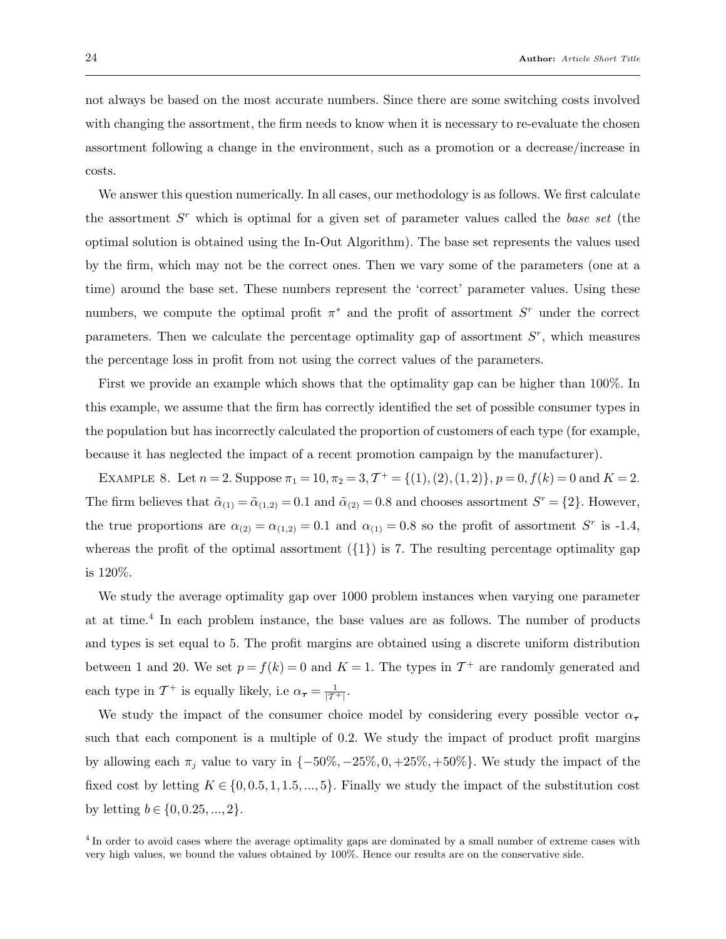not always be based on the most accurate numbers. Since there are some switching costs involved with changing the assortment, the firm needs to know when it is necessary to re-evaluate the chosen assortment following a change in the environment, such as a promotion or a decrease/increase in costs.

We answer this question numerically. In all cases, our methodology is as follows. We first calculate the assortment  $S<sup>r</sup>$  which is optimal for a given set of parameter values called the base set (the optimal solution is obtained using the In-Out Algorithm). The base set represents the values used by the firm, which may not be the correct ones. Then we vary some of the parameters (one at a time) around the base set. These numbers represent the 'correct' parameter values. Using these numbers, we compute the optimal profit  $\pi^*$  and the profit of assortment  $S^r$  under the correct parameters. Then we calculate the percentage optimality gap of assortment  $S<sup>r</sup>$ , which measures the percentage loss in profit from not using the correct values of the parameters.

First we provide an example which shows that the optimality gap can be higher than 100%. In this example, we assume that the firm has correctly identified the set of possible consumer types in the population but has incorrectly calculated the proportion of customers of each type (for example, because it has neglected the impact of a recent promotion campaign by the manufacturer).

EXAMPLE 8. Let  $n = 2$ . Suppose  $\pi_1 = 10$ ,  $\pi_2 = 3$ ,  $\mathcal{T}^+ = \{(1), (2), (1, 2)\}$ ,  $p = 0$ ,  $f(k) = 0$  and  $K = 2$ . The firm believes that  $\tilde{\alpha}_{(1)} = \tilde{\alpha}_{(1,2)} = 0.1$  and  $\tilde{\alpha}_{(2)} = 0.8$  and chooses assortment  $S^r = \{2\}$ . However, the true proportions are  $\alpha_{(2)} = \alpha_{(1,2)} = 0.1$  and  $\alpha_{(1)} = 0.8$  so the profit of assortment S<sup>r</sup> is -1.4, whereas the profit of the optimal assortment  $({1})$  is 7. The resulting percentage optimality gap is 120%.

We study the average optimality gap over 1000 problem instances when varying one parameter at at time.<sup>4</sup> In each problem instance, the base values are as follows. The number of products and types is set equal to 5. The profit margins are obtained using a discrete uniform distribution between 1 and 20. We set  $p = f(k) = 0$  and  $K = 1$ . The types in  $\mathcal{T}^+$  are randomly generated and each type in  $\mathcal{T}^+$  is equally likely, i.e  $\alpha_{\tau} = \frac{1}{|\mathcal{T}^+|}$ .

We study the impact of the consumer choice model by considering every possible vector  $\alpha_{\tau}$ such that each component is a multiple of 0.2. We study the impact of product profit margins by allowing each  $\pi_j$  value to vary in  $\{-50\%, -25\%, 0, +25\%, +50\%\}$ . We study the impact of the fixed cost by letting  $K \in \{0, 0.5, 1, 1.5, ..., 5\}$ . Finally we study the impact of the substitution cost by letting  $b \in \{0, 0.25, ..., 2\}$ .

<sup>&</sup>lt;sup>4</sup> In order to avoid cases where the average optimality gaps are dominated by a small number of extreme cases with very high values, we bound the values obtained by 100%. Hence our results are on the conservative side.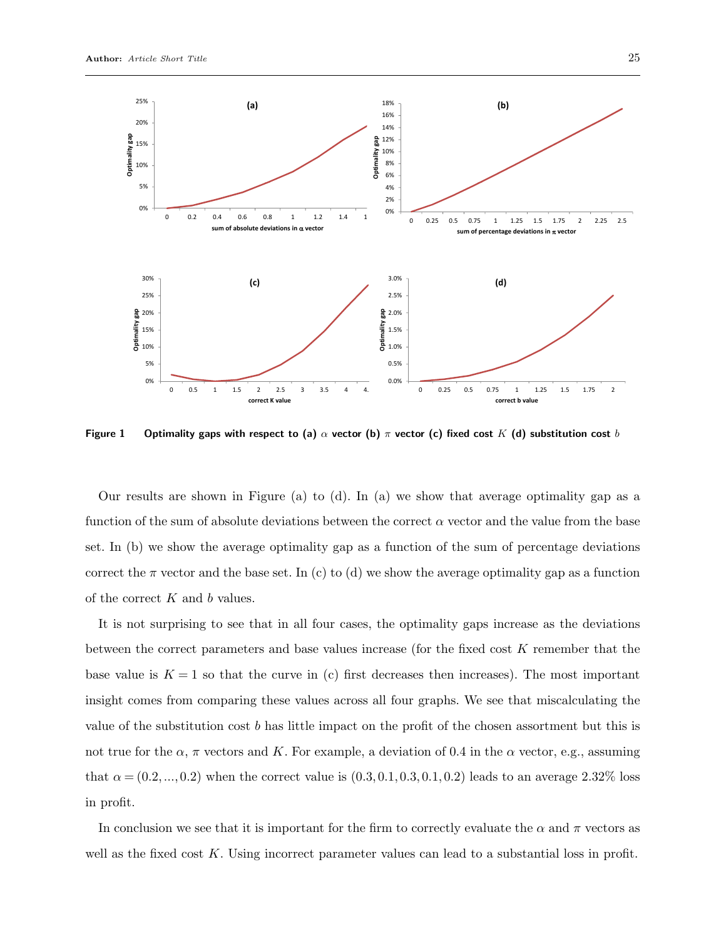

Figure 1 Optimality gaps with respect to (a)  $\alpha$  vector (b)  $\pi$  vector (c) fixed cost K (d) substitution cost b

Our results are shown in Figure (a) to (d). In (a) we show that average optimality gap as a function of the sum of absolute deviations between the correct  $\alpha$  vector and the value from the base set. In (b) we show the average optimality gap as a function of the sum of percentage deviations correct the  $\pi$  vector and the base set. In (c) to (d) we show the average optimality gap as a function of the correct  $K$  and  $b$  values.

It is not surprising to see that in all four cases, the optimality gaps increase as the deviations between the correct parameters and base values increase (for the fixed cost K remember that the base value is  $K = 1$  so that the curve in (c) first decreases then increases). The most important insight comes from comparing these values across all four graphs. We see that miscalculating the value of the substitution cost b has little impact on the profit of the chosen assortment but this is not true for the  $\alpha$ ,  $\pi$  vectors and K. For example, a deviation of 0.4 in the  $\alpha$  vector, e.g., assuming that  $\alpha = (0.2, ..., 0.2)$  when the correct value is  $(0.3, 0.1, 0.3, 0.1, 0.2)$  leads to an average 2.32% loss in profit.

In conclusion we see that it is important for the firm to correctly evaluate the  $\alpha$  and  $\pi$  vectors as well as the fixed cost  $K$ . Using incorrect parameter values can lead to a substantial loss in profit.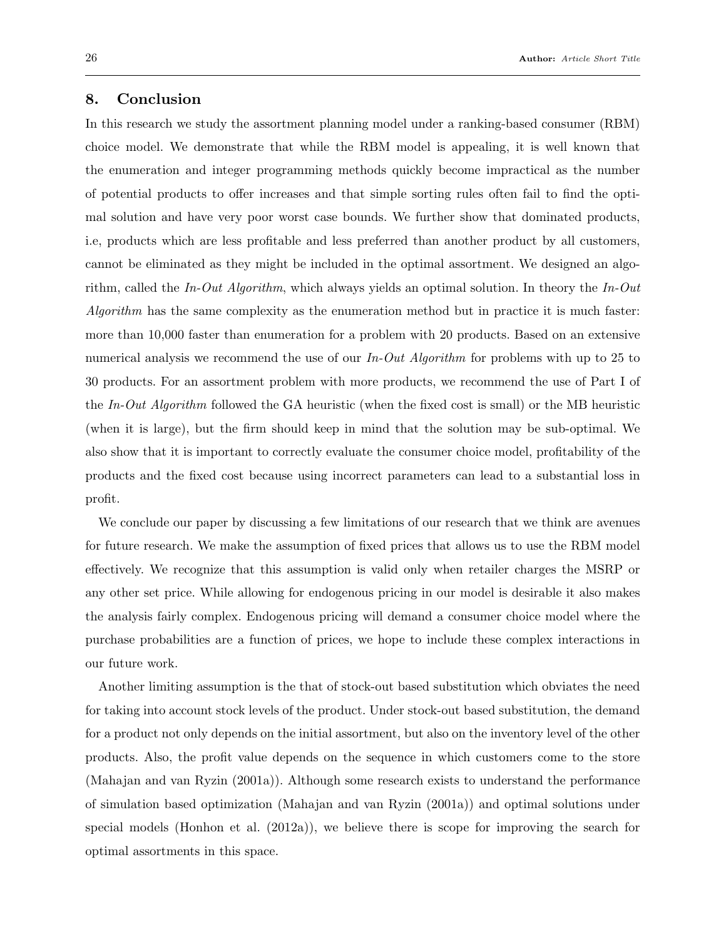#### 8. Conclusion

In this research we study the assortment planning model under a ranking-based consumer (RBM) choice model. We demonstrate that while the RBM model is appealing, it is well known that the enumeration and integer programming methods quickly become impractical as the number of potential products to offer increases and that simple sorting rules often fail to find the optimal solution and have very poor worst case bounds. We further show that dominated products, i.e, products which are less profitable and less preferred than another product by all customers, cannot be eliminated as they might be included in the optimal assortment. We designed an algorithm, called the In-Out Algorithm, which always yields an optimal solution. In theory the In-Out Algorithm has the same complexity as the enumeration method but in practice it is much faster: more than 10,000 faster than enumeration for a problem with 20 products. Based on an extensive numerical analysis we recommend the use of our In-Out Algorithm for problems with up to 25 to 30 products. For an assortment problem with more products, we recommend the use of Part I of the In-Out Algorithm followed the GA heuristic (when the fixed cost is small) or the MB heuristic (when it is large), but the firm should keep in mind that the solution may be sub-optimal. We also show that it is important to correctly evaluate the consumer choice model, profitability of the products and the fixed cost because using incorrect parameters can lead to a substantial loss in profit.

We conclude our paper by discussing a few limitations of our research that we think are avenues for future research. We make the assumption of fixed prices that allows us to use the RBM model effectively. We recognize that this assumption is valid only when retailer charges the MSRP or any other set price. While allowing for endogenous pricing in our model is desirable it also makes the analysis fairly complex. Endogenous pricing will demand a consumer choice model where the purchase probabilities are a function of prices, we hope to include these complex interactions in our future work.

Another limiting assumption is the that of stock-out based substitution which obviates the need for taking into account stock levels of the product. Under stock-out based substitution, the demand for a product not only depends on the initial assortment, but also on the inventory level of the other products. Also, the profit value depends on the sequence in which customers come to the store (Mahajan and van Ryzin (2001a)). Although some research exists to understand the performance of simulation based optimization (Mahajan and van Ryzin (2001a)) and optimal solutions under special models (Honhon et al. (2012a)), we believe there is scope for improving the search for optimal assortments in this space.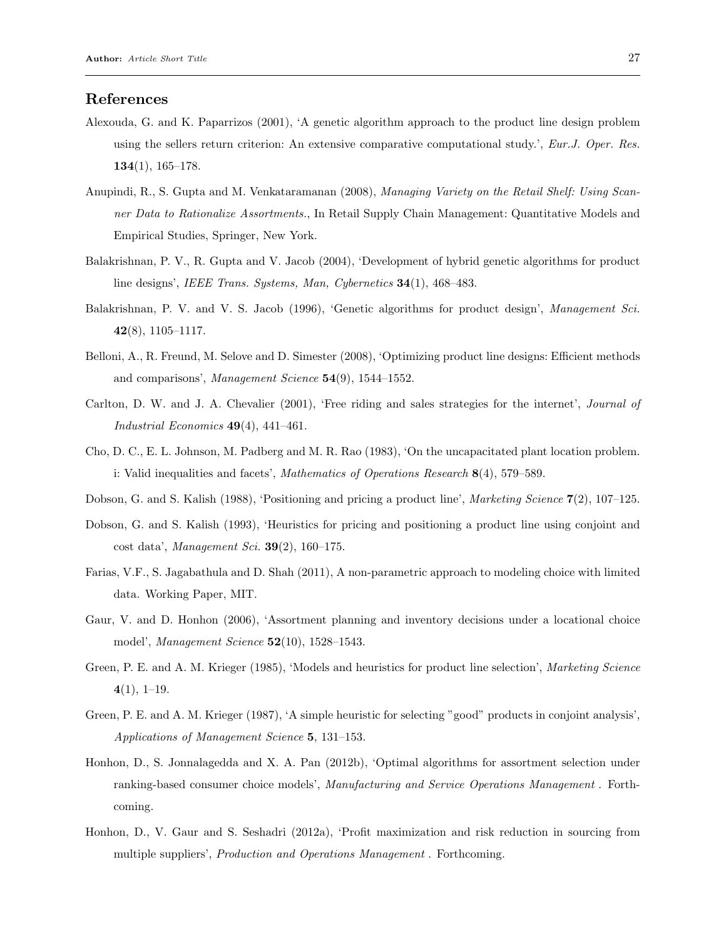#### References

- Alexouda, G. and K. Paparrizos (2001), 'A genetic algorithm approach to the product line design problem using the sellers return criterion: An extensive comparative computational study.', Eur.J. Oper. Res. 134(1), 165–178.
- Anupindi, R., S. Gupta and M. Venkataramanan (2008), Managing Variety on the Retail Shelf: Using Scanner Data to Rationalize Assortments., In Retail Supply Chain Management: Quantitative Models and Empirical Studies, Springer, New York.
- Balakrishnan, P. V., R. Gupta and V. Jacob (2004), 'Development of hybrid genetic algorithms for product line designs', *IEEE Trans. Systems, Man, Cybernetics* **34**(1), 468–483.
- Balakrishnan, P. V. and V. S. Jacob (1996), 'Genetic algorithms for product design', Management Sci. 42(8), 1105–1117.
- Belloni, A., R. Freund, M. Selove and D. Simester (2008), 'Optimizing product line designs: Efficient methods and comparisons', Management Science 54(9), 1544-1552.
- Carlton, D. W. and J. A. Chevalier (2001), 'Free riding and sales strategies for the internet', Journal of Industrial Economics  $49(4)$ ,  $441-461$ .
- Cho, D. C., E. L. Johnson, M. Padberg and M. R. Rao (1983), 'On the uncapacitated plant location problem. i: Valid inequalities and facets', Mathematics of Operations Research 8(4), 579–589.
- Dobson, G. and S. Kalish (1988), 'Positioning and pricing a product line', Marketing Science 7(2), 107–125.
- Dobson, G. and S. Kalish (1993), 'Heuristics for pricing and positioning a product line using conjoint and cost data', Management Sci.  $39(2)$ , 160-175.
- Farias, V.F., S. Jagabathula and D. Shah (2011), A non-parametric approach to modeling choice with limited data. Working Paper, MIT.
- Gaur, V. and D. Honhon (2006), 'Assortment planning and inventory decisions under a locational choice model', *Management Science* **52**(10), 1528–1543.
- Green, P. E. and A. M. Krieger (1985), 'Models and heuristics for product line selection', Marketing Science  $4(1), 1-19.$
- Green, P. E. and A. M. Krieger (1987), 'A simple heuristic for selecting "good" products in conjoint analysis', Applications of Management Science 5, 131–153.
- Honhon, D., S. Jonnalagedda and X. A. Pan (2012b), 'Optimal algorithms for assortment selection under ranking-based consumer choice models', Manufacturing and Service Operations Management . Forthcoming.
- Honhon, D., V. Gaur and S. Seshadri (2012a), 'Profit maximization and risk reduction in sourcing from multiple suppliers', Production and Operations Management. Forthcoming.